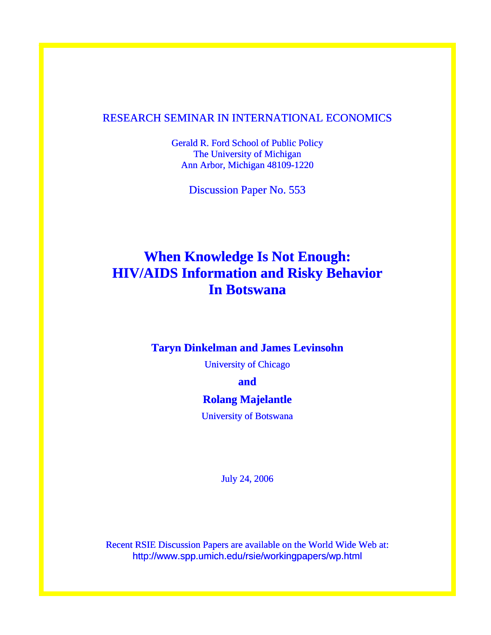## RESEARCH SEMINAR IN INTERNATIONAL ECONOMICS

Gerald R. Ford School of Public Policy The University of Michigan Ann Arbor, Michigan 48109-1220

Discussion Paper No. 553

# **When Knowledge Is Not Enough: HIV/AIDS Information and Risky Behavior In Botswana**

### **Taryn Dinkelman and James Levinsohn**

University of Chicago

**and** 

## **Rolang Majelantle**

University of Botswana

July 24, 2006

Recent RSIE Discussion Papers are available on the World Wide Web at: http://www.spp.umich.edu/rsie/workingpapers/wp.html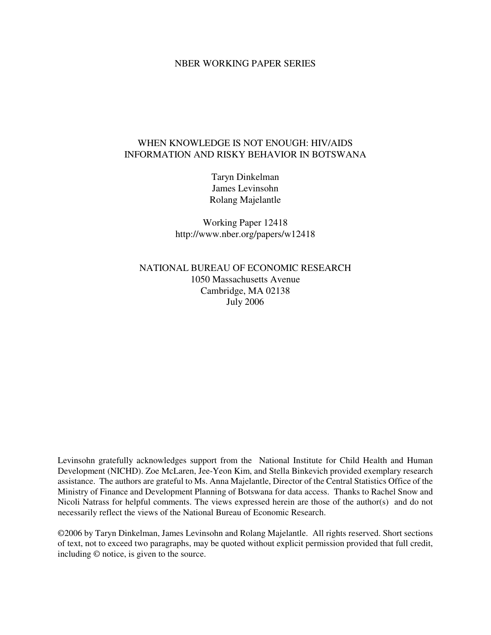#### NBER WORKING PAPER SERIES

#### WHEN KNOWLEDGE IS NOT ENOUGH: HIV/AIDS INFORMATION AND RISKY BEHAVIOR IN BOTSWANA

Taryn Dinkelman James Levinsohn Rolang Majelantle

Working Paper 12418 http://www.nber.org/papers/w12418

NATIONAL BUREAU OF ECONOMIC RESEARCH 1050 Massachusetts Avenue Cambridge, MA 02138 July 2006

Levinsohn gratefully acknowledges support from the National Institute for Child Health and Human Development (NICHD). Zoe McLaren, Jee-Yeon Kim, and Stella Binkevich provided exemplary research assistance. The authors are grateful to Ms. Anna Majelantle, Director of the Central Statistics Office of the Ministry of Finance and Development Planning of Botswana for data access. Thanks to Rachel Snow and Nicoli Natrass for helpful comments. The views expressed herein are those of the author(s) and do not necessarily reflect the views of the National Bureau of Economic Research.

©2006 by Taryn Dinkelman, James Levinsohn and Rolang Majelantle. All rights reserved. Short sections of text, not to exceed two paragraphs, may be quoted without explicit permission provided that full credit, including © notice, is given to the source.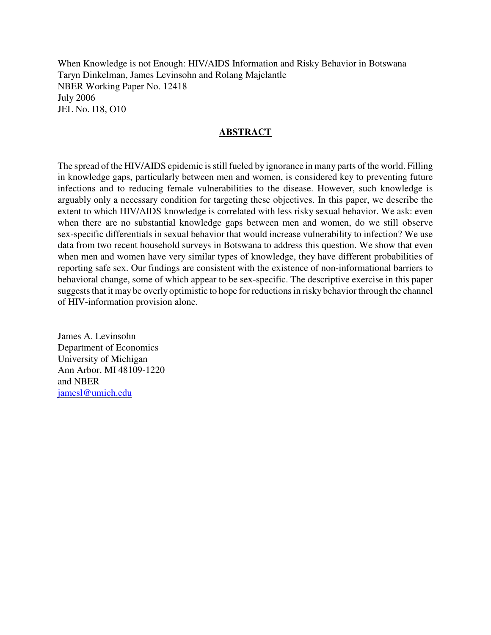When Knowledge is not Enough: HIV/AIDS Information and Risky Behavior in Botswana Taryn Dinkelman, James Levinsohn and Rolang Majelantle NBER Working Paper No. 12418 July 2006 JEL No. I18, O10

#### **ABSTRACT**

The spread of the HIV/AIDS epidemic is still fueled by ignorance in many parts of the world. Filling in knowledge gaps, particularly between men and women, is considered key to preventing future infections and to reducing female vulnerabilities to the disease. However, such knowledge is arguably only a necessary condition for targeting these objectives. In this paper, we describe the extent to which HIV/AIDS knowledge is correlated with less risky sexual behavior. We ask: even when there are no substantial knowledge gaps between men and women, do we still observe sex-specific differentials in sexual behavior that would increase vulnerability to infection? We use data from two recent household surveys in Botswana to address this question. We show that even when men and women have very similar types of knowledge, they have different probabilities of reporting safe sex. Our findings are consistent with the existence of non-informational barriers to behavioral change, some of which appear to be sex-specific. The descriptive exercise in this paper suggests that it may be overly optimistic to hope for reductions in risky behavior through the channel of HIV-information provision alone.

James A. Levinsohn Department of Economics University of Michigan Ann Arbor, MI 48109-1220 and NBER jamesl@umich.edu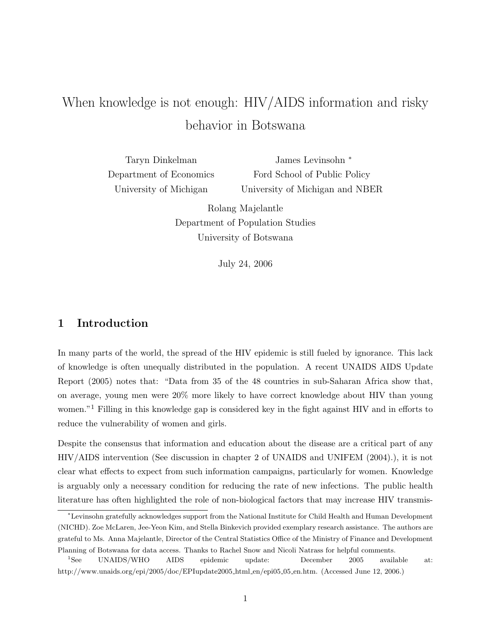# When knowledge is not enough: HIV/AIDS information and risky behavior in Botswana

Taryn Dinkelman Department of Economics University of Michigan

James Levinsohn <sup>∗</sup> Ford School of Public Policy University of Michigan and NBER

Rolang Majelantle Department of Population Studies University of Botswana

July 24, 2006

### 1 Introduction

In many parts of the world, the spread of the HIV epidemic is still fueled by ignorance. This lack of knowledge is often unequally distributed in the population. A recent UNAIDS AIDS Update Report (2005) notes that: "Data from 35 of the 48 countries in sub-Saharan Africa show that, on average, young men were 20% more likely to have correct knowledge about HIV than young women."<sup>1</sup> Filling in this knowledge gap is considered key in the fight against HIV and in efforts to reduce the vulnerability of women and girls.

Despite the consensus that information and education about the disease are a critical part of any HIV/AIDS intervention (See discussion in chapter 2 of UNAIDS and UNIFEM (2004).), it is not clear what effects to expect from such information campaigns, particularly for women. Knowledge is arguably only a necessary condition for reducing the rate of new infections. The public health literature has often highlighted the role of non-biological factors that may increase HIV transmis-

<sup>∗</sup>Levinsohn gratefully acknowledges support from the National Institute for Child Health and Human Development (NICHD). Zoe McLaren, Jee-Yeon Kim, and Stella Binkevich provided exemplary research assistance. The authors are grateful to Ms. Anna Majelantle, Director of the Central Statistics Office of the Ministry of Finance and Development Planning of Botswana for data access. Thanks to Rachel Snow and Nicoli Natrass for helpful comments.

<sup>1</sup>See UNAIDS/WHO AIDS epidemic update: December 2005 available at: http://www.unaids.org/epi/2005/doc/EPIupdate2005 html en/epi05 05 en.htm. (Accessed June 12, 2006.)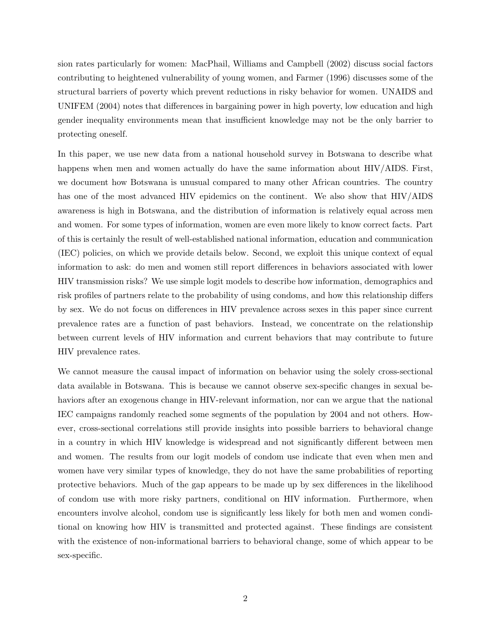sion rates particularly for women: MacPhail, Williams and Campbell (2002) discuss social factors contributing to heightened vulnerability of young women, and Farmer (1996) discusses some of the structural barriers of poverty which prevent reductions in risky behavior for women. UNAIDS and UNIFEM (2004) notes that differences in bargaining power in high poverty, low education and high gender inequality environments mean that insufficient knowledge may not be the only barrier to protecting oneself.

In this paper, we use new data from a national household survey in Botswana to describe what happens when men and women actually do have the same information about HIV/AIDS. First, we document how Botswana is unusual compared to many other African countries. The country has one of the most advanced HIV epidemics on the continent. We also show that HIV/AIDS awareness is high in Botswana, and the distribution of information is relatively equal across men and women. For some types of information, women are even more likely to know correct facts. Part of this is certainly the result of well-established national information, education and communication (IEC) policies, on which we provide details below. Second, we exploit this unique context of equal information to ask: do men and women still report differences in behaviors associated with lower HIV transmission risks? We use simple logit models to describe how information, demographics and risk profiles of partners relate to the probability of using condoms, and how this relationship differs by sex. We do not focus on differences in HIV prevalence across sexes in this paper since current prevalence rates are a function of past behaviors. Instead, we concentrate on the relationship between current levels of HIV information and current behaviors that may contribute to future HIV prevalence rates.

We cannot measure the causal impact of information on behavior using the solely cross-sectional data available in Botswana. This is because we cannot observe sex-specific changes in sexual behaviors after an exogenous change in HIV-relevant information, nor can we argue that the national IEC campaigns randomly reached some segments of the population by 2004 and not others. However, cross-sectional correlations still provide insights into possible barriers to behavioral change in a country in which HIV knowledge is widespread and not significantly different between men and women. The results from our logit models of condom use indicate that even when men and women have very similar types of knowledge, they do not have the same probabilities of reporting protective behaviors. Much of the gap appears to be made up by sex differences in the likelihood of condom use with more risky partners, conditional on HIV information. Furthermore, when encounters involve alcohol, condom use is significantly less likely for both men and women conditional on knowing how HIV is transmitted and protected against. These findings are consistent with the existence of non-informational barriers to behavioral change, some of which appear to be sex-specific.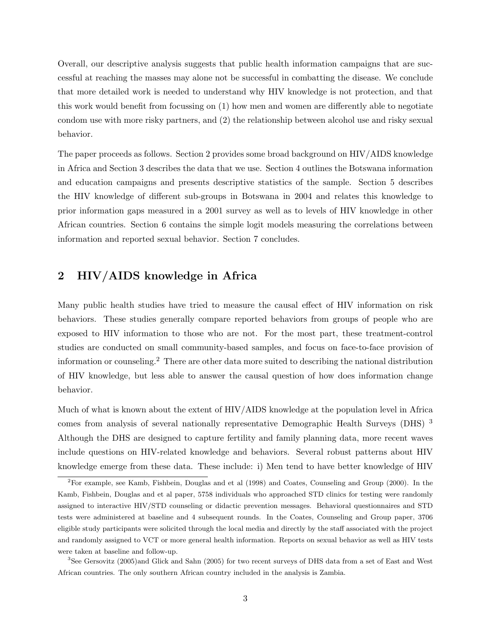Overall, our descriptive analysis suggests that public health information campaigns that are successful at reaching the masses may alone not be successful in combatting the disease. We conclude that more detailed work is needed to understand why HIV knowledge is not protection, and that this work would benefit from focussing on (1) how men and women are differently able to negotiate condom use with more risky partners, and (2) the relationship between alcohol use and risky sexual behavior.

The paper proceeds as follows. Section 2 provides some broad background on HIV/AIDS knowledge in Africa and Section 3 describes the data that we use. Section 4 outlines the Botswana information and education campaigns and presents descriptive statistics of the sample. Section 5 describes the HIV knowledge of different sub-groups in Botswana in 2004 and relates this knowledge to prior information gaps measured in a 2001 survey as well as to levels of HIV knowledge in other African countries. Section 6 contains the simple logit models measuring the correlations between information and reported sexual behavior. Section 7 concludes.

## 2 HIV/AIDS knowledge in Africa

Many public health studies have tried to measure the causal effect of HIV information on risk behaviors. These studies generally compare reported behaviors from groups of people who are exposed to HIV information to those who are not. For the most part, these treatment-control studies are conducted on small community-based samples, and focus on face-to-face provision of information or counseling.<sup>2</sup> There are other data more suited to describing the national distribution of HIV knowledge, but less able to answer the causal question of how does information change behavior.

Much of what is known about the extent of HIV/AIDS knowledge at the population level in Africa comes from analysis of several nationally representative Demographic Health Surveys (DHS) <sup>3</sup> Although the DHS are designed to capture fertility and family planning data, more recent waves include questions on HIV-related knowledge and behaviors. Several robust patterns about HIV knowledge emerge from these data. These include: i) Men tend to have better knowledge of HIV

 $2^2$ For example, see Kamb, Fishbein, Douglas and et al (1998) and Coates, Counseling and Group (2000). In the Kamb, Fishbein, Douglas and et al paper, 5758 individuals who approached STD clinics for testing were randomly assigned to interactive HIV/STD counseling or didactic prevention messages. Behavioral questionnaires and STD tests were administered at baseline and 4 subsequent rounds. In the Coates, Counseling and Group paper, 3706 eligible study participants were solicited through the local media and directly by the staff associated with the project and randomly assigned to VCT or more general health information. Reports on sexual behavior as well as HIV tests were taken at baseline and follow-up.

<sup>3</sup>See Gersovitz (2005)and Glick and Sahn (2005) for two recent surveys of DHS data from a set of East and West African countries. The only southern African country included in the analysis is Zambia.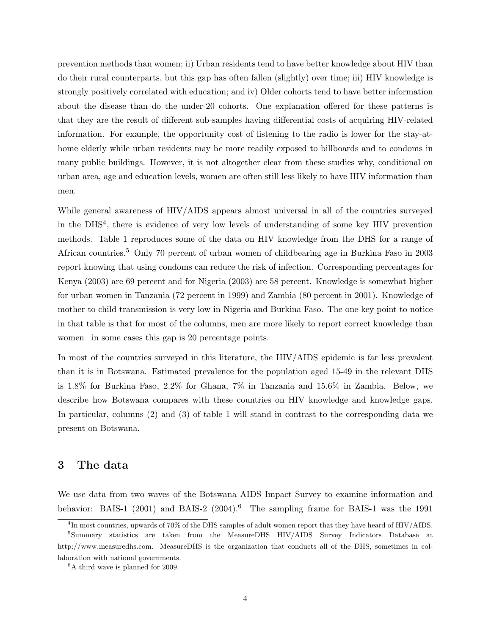prevention methods than women; ii) Urban residents tend to have better knowledge about HIV than do their rural counterparts, but this gap has often fallen (slightly) over time; iii) HIV knowledge is strongly positively correlated with education; and iv) Older cohorts tend to have better information about the disease than do the under-20 cohorts. One explanation offered for these patterns is that they are the result of different sub-samples having differential costs of acquiring HIV-related information. For example, the opportunity cost of listening to the radio is lower for the stay-athome elderly while urban residents may be more readily exposed to billboards and to condoms in many public buildings. However, it is not altogether clear from these studies why, conditional on urban area, age and education levels, women are often still less likely to have HIV information than men.

While general awareness of HIV/AIDS appears almost universal in all of the countries surveyed in the DHS<sup>4</sup> , there is evidence of very low levels of understanding of some key HIV prevention methods. Table 1 reproduces some of the data on HIV knowledge from the DHS for a range of African countries.<sup>5</sup> Only 70 percent of urban women of childbearing age in Burkina Faso in 2003 report knowing that using condoms can reduce the risk of infection. Corresponding percentages for Kenya (2003) are 69 percent and for Nigeria (2003) are 58 percent. Knowledge is somewhat higher for urban women in Tanzania (72 percent in 1999) and Zambia (80 percent in 2001). Knowledge of mother to child transmission is very low in Nigeria and Burkina Faso. The one key point to notice in that table is that for most of the columns, men are more likely to report correct knowledge than women– in some cases this gap is 20 percentage points.

In most of the countries surveyed in this literature, the HIV/AIDS epidemic is far less prevalent than it is in Botswana. Estimated prevalence for the population aged 15-49 in the relevant DHS is 1.8% for Burkina Faso, 2.2% for Ghana, 7% in Tanzania and 15.6% in Zambia. Below, we describe how Botswana compares with these countries on HIV knowledge and knowledge gaps. In particular, columns (2) and (3) of table 1 will stand in contrast to the corresponding data we present on Botswana.

#### 3 The data

We use data from two waves of the Botswana AIDS Impact Survey to examine information and behavior: BAIS-1 (2001) and BAIS-2 (2004).<sup>6</sup> The sampling frame for BAIS-1 was the 1991

<sup>&</sup>lt;sup>4</sup>In most countries, upwards of 70% of the DHS samples of adult women report that they have heard of HIV/AIDS. <sup>5</sup>Summary statistics are taken from the MeasureDHS HIV/AIDS Survey Indicators Database at http://www.measuredhs.com. MeasureDHS is the organization that conducts all of the DHS, sometimes in collaboration with national governments.

<sup>&</sup>lt;sup>6</sup>A third wave is planned for 2009.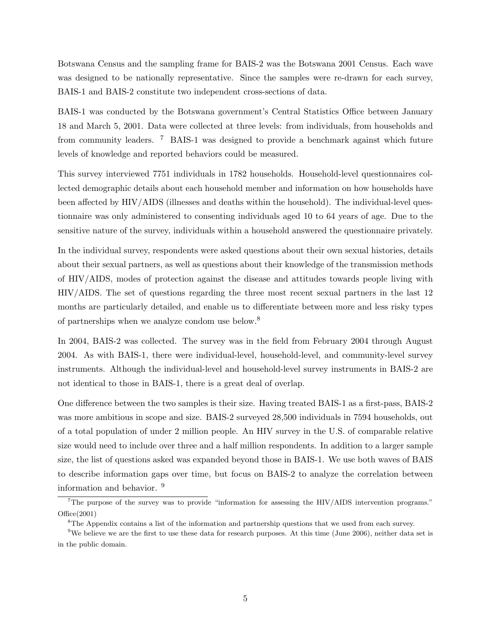Botswana Census and the sampling frame for BAIS-2 was the Botswana 2001 Census. Each wave was designed to be nationally representative. Since the samples were re-drawn for each survey, BAIS-1 and BAIS-2 constitute two independent cross-sections of data.

BAIS-1 was conducted by the Botswana government's Central Statistics Office between January 18 and March 5, 2001. Data were collected at three levels: from individuals, from households and from community leaders. <sup>7</sup> BAIS-1 was designed to provide a benchmark against which future levels of knowledge and reported behaviors could be measured.

This survey interviewed 7751 individuals in 1782 households. Household-level questionnaires collected demographic details about each household member and information on how households have been affected by HIV/AIDS (illnesses and deaths within the household). The individual-level questionnaire was only administered to consenting individuals aged 10 to 64 years of age. Due to the sensitive nature of the survey, individuals within a household answered the questionnaire privately.

In the individual survey, respondents were asked questions about their own sexual histories, details about their sexual partners, as well as questions about their knowledge of the transmission methods of HIV/AIDS, modes of protection against the disease and attitudes towards people living with HIV/AIDS. The set of questions regarding the three most recent sexual partners in the last 12 months are particularly detailed, and enable us to differentiate between more and less risky types of partnerships when we analyze condom use below.<sup>8</sup>

In 2004, BAIS-2 was collected. The survey was in the field from February 2004 through August 2004. As with BAIS-1, there were individual-level, household-level, and community-level survey instruments. Although the individual-level and household-level survey instruments in BAIS-2 are not identical to those in BAIS-1, there is a great deal of overlap.

One difference between the two samples is their size. Having treated BAIS-1 as a first-pass, BAIS-2 was more ambitious in scope and size. BAIS-2 surveyed 28,500 individuals in 7594 households, out of a total population of under 2 million people. An HIV survey in the U.S. of comparable relative size would need to include over three and a half million respondents. In addition to a larger sample size, the list of questions asked was expanded beyond those in BAIS-1. We use both waves of BAIS to describe information gaps over time, but focus on BAIS-2 to analyze the correlation between information and behavior. <sup>9</sup>

<sup>&</sup>lt;sup>7</sup>The purpose of the survey was to provide "information for assessing the HIV/AIDS intervention programs." Office(2001)

<sup>&</sup>lt;sup>8</sup>The Appendix contains a list of the information and partnership questions that we used from each survey.

 $9$ We believe we are the first to use these data for research purposes. At this time (June 2006), neither data set is in the public domain.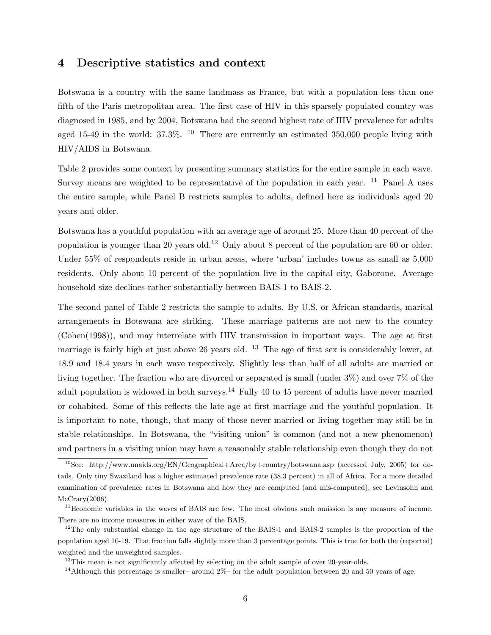#### 4 Descriptive statistics and context

Botswana is a country with the same landmass as France, but with a population less than one fifth of the Paris metropolitan area. The first case of HIV in this sparsely populated country was diagnosed in 1985, and by 2004, Botswana had the second highest rate of HIV prevalence for adults aged 15-49 in the world:  $37.3\%$ . <sup>10</sup> There are currently an estimated 350,000 people living with HIV/AIDS in Botswana.

Table 2 provides some context by presenting summary statistics for the entire sample in each wave. Survey means are weighted to be representative of the population in each year. <sup>11</sup> Panel A uses the entire sample, while Panel B restricts samples to adults, defined here as individuals aged 20 years and older.

Botswana has a youthful population with an average age of around 25. More than 40 percent of the population is younger than 20 years old.<sup>12</sup> Only about 8 percent of the population are 60 or older. Under 55% of respondents reside in urban areas, where 'urban' includes towns as small as 5,000 residents. Only about 10 percent of the population live in the capital city, Gaborone. Average household size declines rather substantially between BAIS-1 to BAIS-2.

The second panel of Table 2 restricts the sample to adults. By U.S. or African standards, marital arrangements in Botswana are striking. These marriage patterns are not new to the country (Cohen(1998)), and may interrelate with HIV transmission in important ways. The age at first marriage is fairly high at just above 26 years old.  $^{13}$  The age of first sex is considerably lower, at 18.9 and 18.4 years in each wave respectively. Slightly less than half of all adults are married or living together. The fraction who are divorced or separated is small (under 3%) and over 7% of the adult population is widowed in both surveys.<sup>14</sup> Fully 40 to 45 percent of adults have never married or cohabited. Some of this reflects the late age at first marriage and the youthful population. It is important to note, though, that many of those never married or living together may still be in stable relationships. In Botswana, the "visiting union" is common (and not a new phenomenon) and partners in a visiting union may have a reasonably stable relationship even though they do not

 $10$ See: http://www.unaids.org/EN/Geographical+Area/by+country/botswana.asp (accessed July, 2005) for details. Only tiny Swaziland has a higher estimated prevalence rate (38.3 percent) in all of Africa. For a more detailed examination of prevalence rates in Botswana and how they are computed (and mis-computed), see Levinsohn and McCrary(2006).

 $11$ Economic variables in the waves of BAIS are few. The most obvious such omission is any measure of income. There are no income measures in either wave of the BAIS.

 $12$ The only substantial change in the age structure of the BAIS-1 and BAIS-2 samples is the proportion of the population aged 10-19. That fraction falls slightly more than 3 percentage points. This is true for both the (reported) weighted and the unweighted samples.

 $13$ This mean is not significantly affected by selecting on the adult sample of over 20-year-olds.

<sup>&</sup>lt;sup>14</sup>Although this percentage is smaller– around  $2\%$ – for the adult population between 20 and 50 years of age.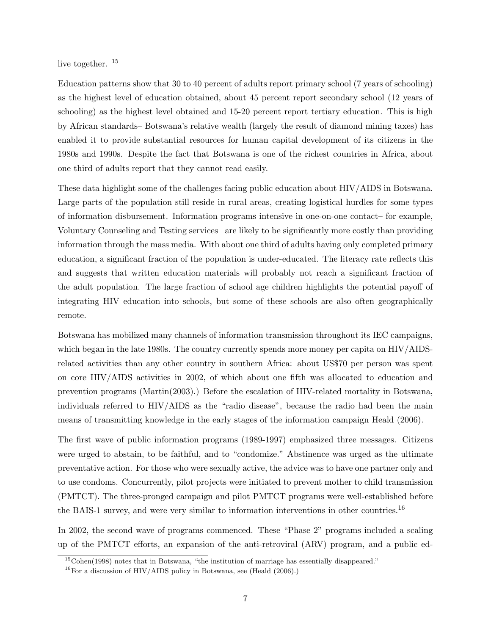live together. <sup>15</sup>

Education patterns show that 30 to 40 percent of adults report primary school (7 years of schooling) as the highest level of education obtained, about 45 percent report secondary school (12 years of schooling) as the highest level obtained and 15-20 percent report tertiary education. This is high by African standards– Botswana's relative wealth (largely the result of diamond mining taxes) has enabled it to provide substantial resources for human capital development of its citizens in the 1980s and 1990s. Despite the fact that Botswana is one of the richest countries in Africa, about one third of adults report that they cannot read easily.

These data highlight some of the challenges facing public education about HIV/AIDS in Botswana. Large parts of the population still reside in rural areas, creating logistical hurdles for some types of information disbursement. Information programs intensive in one-on-one contact– for example, Voluntary Counseling and Testing services– are likely to be significantly more costly than providing information through the mass media. With about one third of adults having only completed primary education, a significant fraction of the population is under-educated. The literacy rate reflects this and suggests that written education materials will probably not reach a significant fraction of the adult population. The large fraction of school age children highlights the potential payoff of integrating HIV education into schools, but some of these schools are also often geographically remote.

Botswana has mobilized many channels of information transmission throughout its IEC campaigns, which began in the late 1980s. The country currently spends more money per capita on HIV/AIDSrelated activities than any other country in southern Africa: about US\$70 per person was spent on core HIV/AIDS activities in 2002, of which about one fifth was allocated to education and prevention programs (Martin(2003).) Before the escalation of HIV-related mortality in Botswana, individuals referred to HIV/AIDS as the "radio disease", because the radio had been the main means of transmitting knowledge in the early stages of the information campaign Heald (2006).

The first wave of public information programs (1989-1997) emphasized three messages. Citizens were urged to abstain, to be faithful, and to "condomize." Abstinence was urged as the ultimate preventative action. For those who were sexually active, the advice was to have one partner only and to use condoms. Concurrently, pilot projects were initiated to prevent mother to child transmission (PMTCT). The three-pronged campaign and pilot PMTCT programs were well-established before the BAIS-1 survey, and were very similar to information interventions in other countries.<sup>16</sup>

In 2002, the second wave of programs commenced. These "Phase 2" programs included a scaling up of the PMTCT efforts, an expansion of the anti-retroviral (ARV) program, and a public ed-

<sup>&</sup>lt;sup>15</sup>Cohen(1998) notes that in Botswana, "the institution of marriage has essentially disappeared."

<sup>&</sup>lt;sup>16</sup>For a discussion of HIV/AIDS policy in Botswana, see (Heald  $(2006)$ .)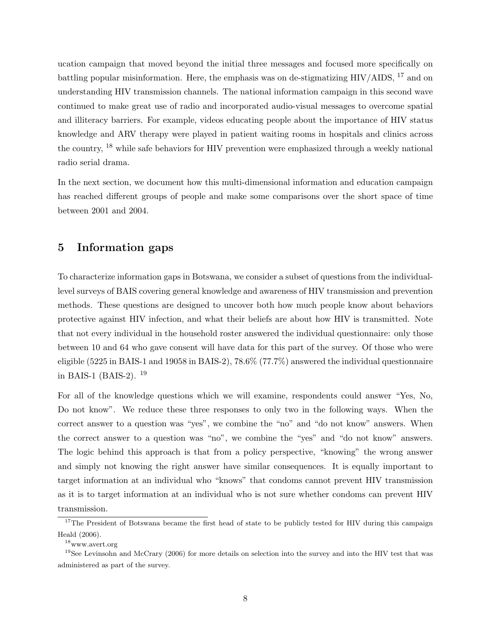ucation campaign that moved beyond the initial three messages and focused more specifically on battling popular misinformation. Here, the emphasis was on de-stigmatizing HIV/AIDS, <sup>17</sup> and on understanding HIV transmission channels. The national information campaign in this second wave continued to make great use of radio and incorporated audio-visual messages to overcome spatial and illiteracy barriers. For example, videos educating people about the importance of HIV status knowledge and ARV therapy were played in patient waiting rooms in hospitals and clinics across the country, <sup>18</sup> while safe behaviors for HIV prevention were emphasized through a weekly national radio serial drama.

In the next section, we document how this multi-dimensional information and education campaign has reached different groups of people and make some comparisons over the short space of time between 2001 and 2004.

#### 5 Information gaps

To characterize information gaps in Botswana, we consider a subset of questions from the individuallevel surveys of BAIS covering general knowledge and awareness of HIV transmission and prevention methods. These questions are designed to uncover both how much people know about behaviors protective against HIV infection, and what their beliefs are about how HIV is transmitted. Note that not every individual in the household roster answered the individual questionnaire: only those between 10 and 64 who gave consent will have data for this part of the survey. Of those who were eligible (5225 in BAIS-1 and 19058 in BAIS-2), 78.6% (77.7%) answered the individual questionnaire in BAIS-1 (BAIS-2). <sup>19</sup>

For all of the knowledge questions which we will examine, respondents could answer "Yes, No, Do not know". We reduce these three responses to only two in the following ways. When the correct answer to a question was "yes", we combine the "no" and "do not know" answers. When the correct answer to a question was "no", we combine the "yes" and "do not know" answers. The logic behind this approach is that from a policy perspective, "knowing" the wrong answer and simply not knowing the right answer have similar consequences. It is equally important to target information at an individual who "knows" that condoms cannot prevent HIV transmission as it is to target information at an individual who is not sure whether condoms can prevent HIV transmission.

<sup>&</sup>lt;sup>17</sup>The President of Botswana became the first head of state to be publicly tested for HIV during this campaign Heald (2006).

<sup>18</sup>www.avert.org

<sup>&</sup>lt;sup>19</sup>See Levinsohn and McCrary (2006) for more details on selection into the survey and into the HIV test that was administered as part of the survey.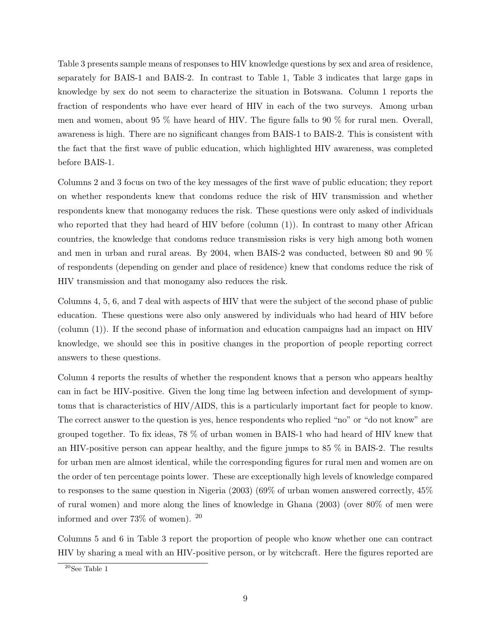Table 3 presents sample means of responses to HIV knowledge questions by sex and area of residence, separately for BAIS-1 and BAIS-2. In contrast to Table 1, Table 3 indicates that large gaps in knowledge by sex do not seem to characterize the situation in Botswana. Column 1 reports the fraction of respondents who have ever heard of HIV in each of the two surveys. Among urban men and women, about 95 % have heard of HIV. The figure falls to 90 % for rural men. Overall, awareness is high. There are no significant changes from BAIS-1 to BAIS-2. This is consistent with the fact that the first wave of public education, which highlighted HIV awareness, was completed before BAIS-1.

Columns 2 and 3 focus on two of the key messages of the first wave of public education; they report on whether respondents knew that condoms reduce the risk of HIV transmission and whether respondents knew that monogamy reduces the risk. These questions were only asked of individuals who reported that they had heard of HIV before (column  $(1)$ ). In contrast to many other African countries, the knowledge that condoms reduce transmission risks is very high among both women and men in urban and rural areas. By 2004, when BAIS-2 was conducted, between 80 and 90 % of respondents (depending on gender and place of residence) knew that condoms reduce the risk of HIV transmission and that monogamy also reduces the risk.

Columns 4, 5, 6, and 7 deal with aspects of HIV that were the subject of the second phase of public education. These questions were also only answered by individuals who had heard of HIV before (column (1)). If the second phase of information and education campaigns had an impact on HIV knowledge, we should see this in positive changes in the proportion of people reporting correct answers to these questions.

Column 4 reports the results of whether the respondent knows that a person who appears healthy can in fact be HIV-positive. Given the long time lag between infection and development of symptoms that is characteristics of HIV/AIDS, this is a particularly important fact for people to know. The correct answer to the question is yes, hence respondents who replied "no" or "do not know" are grouped together. To fix ideas, 78 % of urban women in BAIS-1 who had heard of HIV knew that an HIV-positive person can appear healthy, and the figure jumps to 85 % in BAIS-2. The results for urban men are almost identical, while the corresponding figures for rural men and women are on the order of ten percentage points lower. These are exceptionally high levels of knowledge compared to responses to the same question in Nigeria (2003) (69% of urban women answered correctly, 45% of rural women) and more along the lines of knowledge in Ghana (2003) (over 80% of men were informed and over 73% of women). <sup>20</sup>

Columns 5 and 6 in Table 3 report the proportion of people who know whether one can contract HIV by sharing a meal with an HIV-positive person, or by witchcraft. Here the figures reported are

 $20$ See Table 1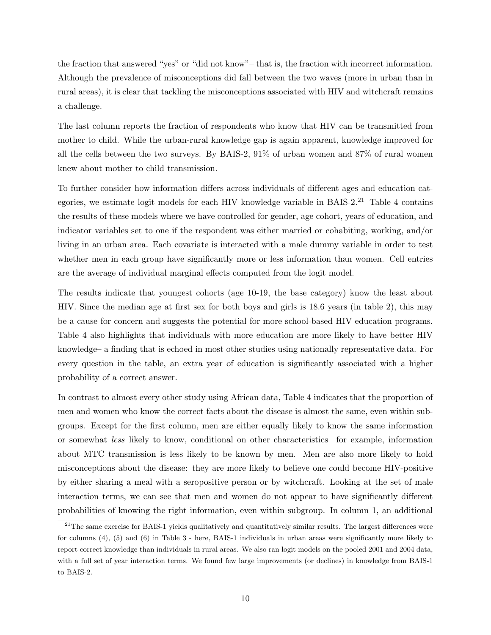the fraction that answered "yes" or "did not know"– that is, the fraction with incorrect information. Although the prevalence of misconceptions did fall between the two waves (more in urban than in rural areas), it is clear that tackling the misconceptions associated with HIV and witchcraft remains a challenge.

The last column reports the fraction of respondents who know that HIV can be transmitted from mother to child. While the urban-rural knowledge gap is again apparent, knowledge improved for all the cells between the two surveys. By BAIS-2, 91% of urban women and 87% of rural women knew about mother to child transmission.

To further consider how information differs across individuals of different ages and education categories, we estimate logit models for each HIV knowledge variable in BAIS-2.<sup>21</sup> Table 4 contains the results of these models where we have controlled for gender, age cohort, years of education, and indicator variables set to one if the respondent was either married or cohabiting, working, and/or living in an urban area. Each covariate is interacted with a male dummy variable in order to test whether men in each group have significantly more or less information than women. Cell entries are the average of individual marginal effects computed from the logit model.

The results indicate that youngest cohorts (age 10-19, the base category) know the least about HIV. Since the median age at first sex for both boys and girls is 18.6 years (in table 2), this may be a cause for concern and suggests the potential for more school-based HIV education programs. Table 4 also highlights that individuals with more education are more likely to have better HIV knowledge– a finding that is echoed in most other studies using nationally representative data. For every question in the table, an extra year of education is significantly associated with a higher probability of a correct answer.

In contrast to almost every other study using African data, Table 4 indicates that the proportion of men and women who know the correct facts about the disease is almost the same, even within subgroups. Except for the first column, men are either equally likely to know the same information or somewhat less likely to know, conditional on other characteristics– for example, information about MTC transmission is less likely to be known by men. Men are also more likely to hold misconceptions about the disease: they are more likely to believe one could become HIV-positive by either sharing a meal with a seropositive person or by witchcraft. Looking at the set of male interaction terms, we can see that men and women do not appear to have significantly different probabilities of knowing the right information, even within subgroup. In column 1, an additional

 $^{21}$ The same exercise for BAIS-1 yields qualitatively and quantitatively similar results. The largest differences were for columns (4), (5) and (6) in Table 3 - here, BAIS-1 individuals in urban areas were significantly more likely to report correct knowledge than individuals in rural areas. We also ran logit models on the pooled 2001 and 2004 data, with a full set of year interaction terms. We found few large improvements (or declines) in knowledge from BAIS-1 to BAIS-2.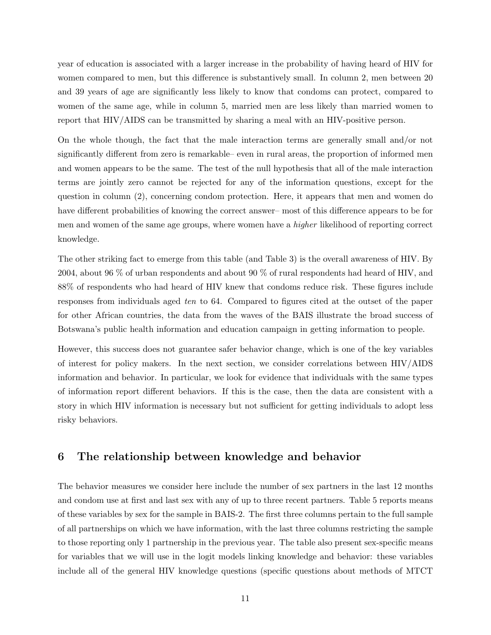year of education is associated with a larger increase in the probability of having heard of HIV for women compared to men, but this difference is substantively small. In column 2, men between 20 and 39 years of age are significantly less likely to know that condoms can protect, compared to women of the same age, while in column 5, married men are less likely than married women to report that HIV/AIDS can be transmitted by sharing a meal with an HIV-positive person.

On the whole though, the fact that the male interaction terms are generally small and/or not significantly different from zero is remarkable– even in rural areas, the proportion of informed men and women appears to be the same. The test of the null hypothesis that all of the male interaction terms are jointly zero cannot be rejected for any of the information questions, except for the question in column (2), concerning condom protection. Here, it appears that men and women do have different probabilities of knowing the correct answer– most of this difference appears to be for men and women of the same age groups, where women have a *higher* likelihood of reporting correct knowledge.

The other striking fact to emerge from this table (and Table 3) is the overall awareness of HIV. By 2004, about 96 % of urban respondents and about 90 % of rural respondents had heard of HIV, and 88% of respondents who had heard of HIV knew that condoms reduce risk. These figures include responses from individuals aged ten to 64. Compared to figures cited at the outset of the paper for other African countries, the data from the waves of the BAIS illustrate the broad success of Botswana's public health information and education campaign in getting information to people.

However, this success does not guarantee safer behavior change, which is one of the key variables of interest for policy makers. In the next section, we consider correlations between HIV/AIDS information and behavior. In particular, we look for evidence that individuals with the same types of information report different behaviors. If this is the case, then the data are consistent with a story in which HIV information is necessary but not sufficient for getting individuals to adopt less risky behaviors.

#### 6 The relationship between knowledge and behavior

The behavior measures we consider here include the number of sex partners in the last 12 months and condom use at first and last sex with any of up to three recent partners. Table 5 reports means of these variables by sex for the sample in BAIS-2. The first three columns pertain to the full sample of all partnerships on which we have information, with the last three columns restricting the sample to those reporting only 1 partnership in the previous year. The table also present sex-specific means for variables that we will use in the logit models linking knowledge and behavior: these variables include all of the general HIV knowledge questions (specific questions about methods of MTCT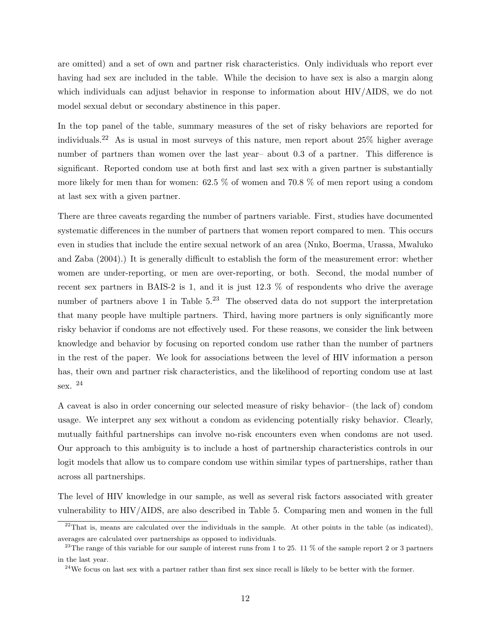are omitted) and a set of own and partner risk characteristics. Only individuals who report ever having had sex are included in the table. While the decision to have sex is also a margin along which individuals can adjust behavior in response to information about HIV/AIDS, we do not model sexual debut or secondary abstinence in this paper.

In the top panel of the table, summary measures of the set of risky behaviors are reported for individuals.<sup>22</sup> As is usual in most surveys of this nature, men report about 25% higher average number of partners than women over the last year– about 0.3 of a partner. This difference is significant. Reported condom use at both first and last sex with a given partner is substantially more likely for men than for women: 62.5 % of women and 70.8 % of men report using a condom at last sex with a given partner.

There are three caveats regarding the number of partners variable. First, studies have documented systematic differences in the number of partners that women report compared to men. This occurs even in studies that include the entire sexual network of an area (Nnko, Boerma, Urassa, Mwaluko and Zaba (2004).) It is generally difficult to establish the form of the measurement error: whether women are under-reporting, or men are over-reporting, or both. Second, the modal number of recent sex partners in BAIS-2 is 1, and it is just 12.3 % of respondents who drive the average number of partners above 1 in Table  $5^{23}$  The observed data do not support the interpretation that many people have multiple partners. Third, having more partners is only significantly more risky behavior if condoms are not effectively used. For these reasons, we consider the link between knowledge and behavior by focusing on reported condom use rather than the number of partners in the rest of the paper. We look for associations between the level of HIV information a person has, their own and partner risk characteristics, and the likelihood of reporting condom use at last sex. <sup>24</sup>

A caveat is also in order concerning our selected measure of risky behavior– (the lack of) condom usage. We interpret any sex without a condom as evidencing potentially risky behavior. Clearly, mutually faithful partnerships can involve no-risk encounters even when condoms are not used. Our approach to this ambiguity is to include a host of partnership characteristics controls in our logit models that allow us to compare condom use within similar types of partnerships, rather than across all partnerships.

The level of HIV knowledge in our sample, as well as several risk factors associated with greater vulnerability to HIV/AIDS, are also described in Table 5. Comparing men and women in the full

 $22$ That is, means are calculated over the individuals in the sample. At other points in the table (as indicated), averages are calculated over partnerships as opposed to individuals.

<sup>&</sup>lt;sup>23</sup>The range of this variable for our sample of interest runs from 1 to 25. 11  $\%$  of the sample report 2 or 3 partners in the last year.

 $24$ We focus on last sex with a partner rather than first sex since recall is likely to be better with the former.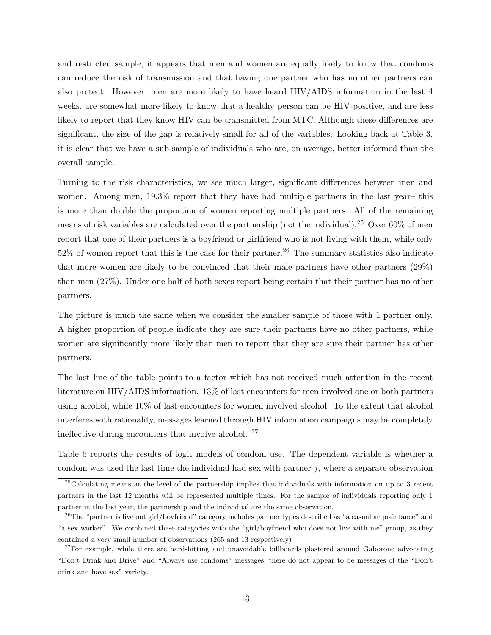and restricted sample, it appears that men and women are equally likely to know that condoms can reduce the risk of transmission and that having one partner who has no other partners can also protect. However, men are more likely to have heard HIV/AIDS information in the last 4 weeks, are somewhat more likely to know that a healthy person can be HIV-positive, and are less likely to report that they know HIV can be transmitted from MTC. Although these differences are significant, the size of the gap is relatively small for all of the variables. Looking back at Table 3, it is clear that we have a sub-sample of individuals who are, on average, better informed than the overall sample.

Turning to the risk characteristics, we see much larger, significant differences between men and women. Among men, 19.3% report that they have had multiple partners in the last year– this is more than double the proportion of women reporting multiple partners. All of the remaining means of risk variables are calculated over the partnership (not the individual).<sup>25</sup> Over 60% of men report that one of their partners is a boyfriend or girlfriend who is not living with them, while only  $52\%$  of women report that this is the case for their partner.<sup>26</sup> The summary statistics also indicate that more women are likely to be convinced that their male partners have other partners (29%) than men (27%). Under one half of both sexes report being certain that their partner has no other partners.

The picture is much the same when we consider the smaller sample of those with 1 partner only. A higher proportion of people indicate they are sure their partners have no other partners, while women are significantly more likely than men to report that they are sure their partner has other partners.

The last line of the table points to a factor which has not received much attention in the recent literature on HIV/AIDS information. 13% of last encounters for men involved one or both partners using alcohol, while 10% of last encounters for women involved alcohol. To the extent that alcohol interferes with rationality, messages learned through HIV information campaigns may be completely ineffective during encounters that involve alcohol. <sup>27</sup>

Table 6 reports the results of logit models of condom use. The dependent variable is whether a condom was used the last time the individual had sex with partner  $j$ , where a separate observation

 $25$ Calculating means at the level of the partnership implies that individuals with information on up to 3 recent partners in the last 12 months will be represented multiple times. For the sample of individuals reporting only 1 partner in the last year, the partnership and the individual are the same observation.

 $^{26}$ The "partner is live out girl/boyfriend" category includes partner types described as "a casual acquaintance" and "a sex worker". We combined these categories with the "girl/boyfriend who does not live with me" group, as they contained a very small number of observations (265 and 13 respectively)

<sup>&</sup>lt;sup>27</sup>For example, while there are hard-hitting and unavoidable billboards plastered around Gaborone advocating "Don't Drink and Drive" and "Always use condoms" messages, there do not appear to be messages of the "Don't drink and have sex" variety.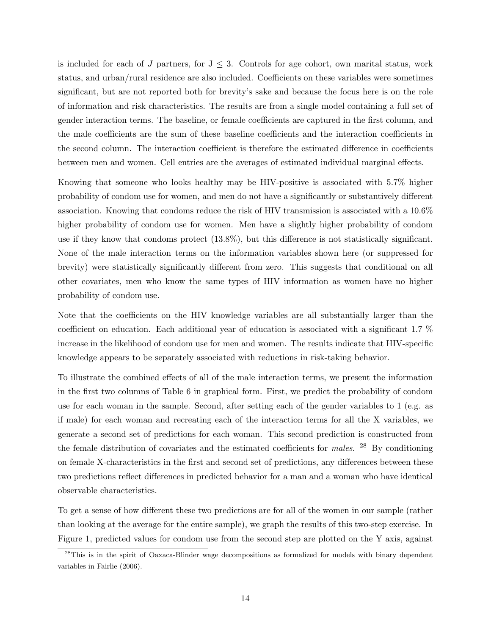is included for each of J partners, for  $J \leq 3$ . Controls for age cohort, own marital status, work status, and urban/rural residence are also included. Coefficients on these variables were sometimes significant, but are not reported both for brevity's sake and because the focus here is on the role of information and risk characteristics. The results are from a single model containing a full set of gender interaction terms. The baseline, or female coefficients are captured in the first column, and the male coefficients are the sum of these baseline coefficients and the interaction coefficients in the second column. The interaction coefficient is therefore the estimated difference in coefficients between men and women. Cell entries are the averages of estimated individual marginal effects.

Knowing that someone who looks healthy may be HIV-positive is associated with 5.7% higher probability of condom use for women, and men do not have a significantly or substantively different association. Knowing that condoms reduce the risk of HIV transmission is associated with a 10.6% higher probability of condom use for women. Men have a slightly higher probability of condom use if they know that condoms protect (13.8%), but this difference is not statistically significant. None of the male interaction terms on the information variables shown here (or suppressed for brevity) were statistically significantly different from zero. This suggests that conditional on all other covariates, men who know the same types of HIV information as women have no higher probability of condom use.

Note that the coefficients on the HIV knowledge variables are all substantially larger than the coefficient on education. Each additional year of education is associated with a significant 1.7 % increase in the likelihood of condom use for men and women. The results indicate that HIV-specific knowledge appears to be separately associated with reductions in risk-taking behavior.

To illustrate the combined effects of all of the male interaction terms, we present the information in the first two columns of Table 6 in graphical form. First, we predict the probability of condom use for each woman in the sample. Second, after setting each of the gender variables to 1 (e.g. as if male) for each woman and recreating each of the interaction terms for all the X variables, we generate a second set of predictions for each woman. This second prediction is constructed from the female distribution of covariates and the estimated coefficients for males. <sup>28</sup> By conditioning on female X-characteristics in the first and second set of predictions, any differences between these two predictions reflect differences in predicted behavior for a man and a woman who have identical observable characteristics.

To get a sense of how different these two predictions are for all of the women in our sample (rather than looking at the average for the entire sample), we graph the results of this two-step exercise. In Figure 1, predicted values for condom use from the second step are plotted on the Y axis, against

<sup>&</sup>lt;sup>28</sup>This is in the spirit of Oaxaca-Blinder wage decompositions as formalized for models with binary dependent variables in Fairlie (2006).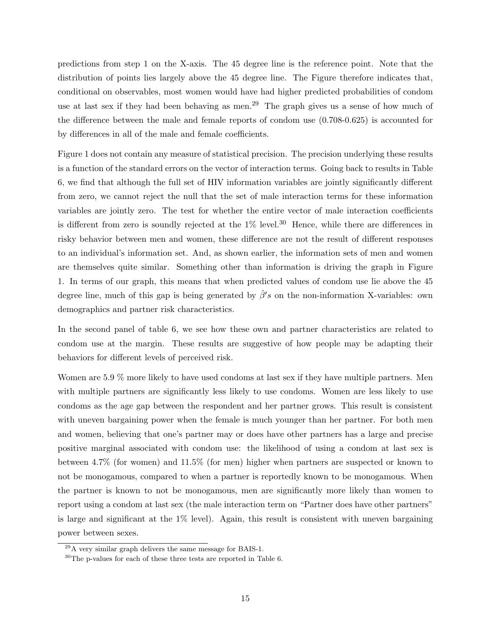predictions from step 1 on the X-axis. The 45 degree line is the reference point. Note that the distribution of points lies largely above the 45 degree line. The Figure therefore indicates that, conditional on observables, most women would have had higher predicted probabilities of condom use at last sex if they had been behaving as men.<sup>29</sup> The graph gives us a sense of how much of the difference between the male and female reports of condom use (0.708-0.625) is accounted for by differences in all of the male and female coefficients.

Figure 1 does not contain any measure of statistical precision. The precision underlying these results is a function of the standard errors on the vector of interaction terms. Going back to results in Table 6, we find that although the full set of HIV information variables are jointly significantly different from zero, we cannot reject the null that the set of male interaction terms for these information variables are jointly zero. The test for whether the entire vector of male interaction coefficients is different from zero is soundly rejected at the  $1\%$  level.<sup>30</sup> Hence, while there are differences in risky behavior between men and women, these difference are not the result of different responses to an individual's information set. And, as shown earlier, the information sets of men and women are themselves quite similar. Something other than information is driving the graph in Figure 1. In terms of our graph, this means that when predicted values of condom use lie above the 45 degree line, much of this gap is being generated by  $\hat{\beta}'s$  on the non-information X-variables: own demographics and partner risk characteristics.

In the second panel of table 6, we see how these own and partner characteristics are related to condom use at the margin. These results are suggestive of how people may be adapting their behaviors for different levels of perceived risk.

Women are 5.9 % more likely to have used condoms at last sex if they have multiple partners. Men with multiple partners are significantly less likely to use condoms. Women are less likely to use condoms as the age gap between the respondent and her partner grows. This result is consistent with uneven bargaining power when the female is much younger than her partner. For both men and women, believing that one's partner may or does have other partners has a large and precise positive marginal associated with condom use: the likelihood of using a condom at last sex is between 4.7% (for women) and 11.5% (for men) higher when partners are suspected or known to not be monogamous, compared to when a partner is reportedly known to be monogamous. When the partner is known to not be monogamous, men are significantly more likely than women to report using a condom at last sex (the male interaction term on "Partner does have other partners" is large and significant at the  $1\%$  level). Again, this result is consistent with uneven bargaining power between sexes.

 $^{29}$ A very similar graph delivers the same message for BAIS-1.

<sup>&</sup>lt;sup>30</sup>The p-values for each of these three tests are reported in Table 6.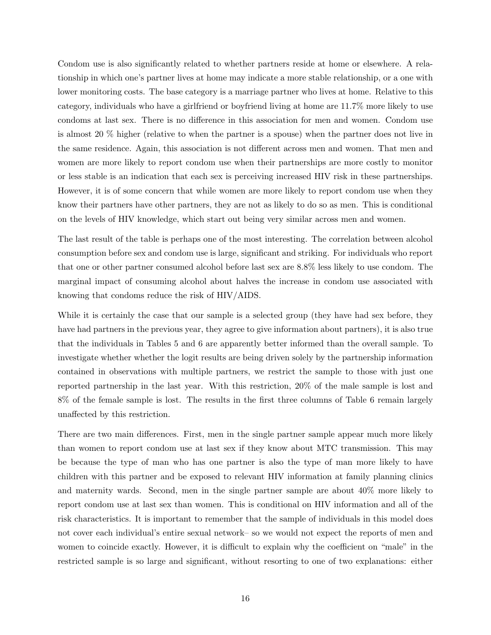Condom use is also significantly related to whether partners reside at home or elsewhere. A relationship in which one's partner lives at home may indicate a more stable relationship, or a one with lower monitoring costs. The base category is a marriage partner who lives at home. Relative to this category, individuals who have a girlfriend or boyfriend living at home are 11.7% more likely to use condoms at last sex. There is no difference in this association for men and women. Condom use is almost 20 % higher (relative to when the partner is a spouse) when the partner does not live in the same residence. Again, this association is not different across men and women. That men and women are more likely to report condom use when their partnerships are more costly to monitor or less stable is an indication that each sex is perceiving increased HIV risk in these partnerships. However, it is of some concern that while women are more likely to report condom use when they know their partners have other partners, they are not as likely to do so as men. This is conditional on the levels of HIV knowledge, which start out being very similar across men and women.

The last result of the table is perhaps one of the most interesting. The correlation between alcohol consumption before sex and condom use is large, significant and striking. For individuals who report that one or other partner consumed alcohol before last sex are 8.8% less likely to use condom. The marginal impact of consuming alcohol about halves the increase in condom use associated with knowing that condoms reduce the risk of HIV/AIDS.

While it is certainly the case that our sample is a selected group (they have had sex before, they have had partners in the previous year, they agree to give information about partners), it is also true that the individuals in Tables 5 and 6 are apparently better informed than the overall sample. To investigate whether whether the logit results are being driven solely by the partnership information contained in observations with multiple partners, we restrict the sample to those with just one reported partnership in the last year. With this restriction, 20% of the male sample is lost and 8% of the female sample is lost. The results in the first three columns of Table 6 remain largely unaffected by this restriction.

There are two main differences. First, men in the single partner sample appear much more likely than women to report condom use at last sex if they know about MTC transmission. This may be because the type of man who has one partner is also the type of man more likely to have children with this partner and be exposed to relevant HIV information at family planning clinics and maternity wards. Second, men in the single partner sample are about 40% more likely to report condom use at last sex than women. This is conditional on HIV information and all of the risk characteristics. It is important to remember that the sample of individuals in this model does not cover each individual's entire sexual network– so we would not expect the reports of men and women to coincide exactly. However, it is difficult to explain why the coefficient on "male" in the restricted sample is so large and significant, without resorting to one of two explanations: either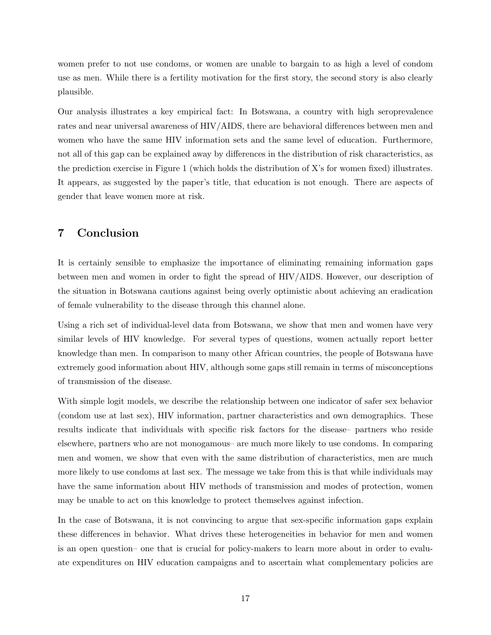women prefer to not use condoms, or women are unable to bargain to as high a level of condom use as men. While there is a fertility motivation for the first story, the second story is also clearly plausible.

Our analysis illustrates a key empirical fact: In Botswana, a country with high seroprevalence rates and near universal awareness of HIV/AIDS, there are behavioral differences between men and women who have the same HIV information sets and the same level of education. Furthermore, not all of this gap can be explained away by differences in the distribution of risk characteristics, as the prediction exercise in Figure 1 (which holds the distribution of X's for women fixed) illustrates. It appears, as suggested by the paper's title, that education is not enough. There are aspects of gender that leave women more at risk.

#### 7 Conclusion

It is certainly sensible to emphasize the importance of eliminating remaining information gaps between men and women in order to fight the spread of HIV/AIDS. However, our description of the situation in Botswana cautions against being overly optimistic about achieving an eradication of female vulnerability to the disease through this channel alone.

Using a rich set of individual-level data from Botswana, we show that men and women have very similar levels of HIV knowledge. For several types of questions, women actually report better knowledge than men. In comparison to many other African countries, the people of Botswana have extremely good information about HIV, although some gaps still remain in terms of misconceptions of transmission of the disease.

With simple logit models, we describe the relationship between one indicator of safer sex behavior (condom use at last sex), HIV information, partner characteristics and own demographics. These results indicate that individuals with specific risk factors for the disease– partners who reside elsewhere, partners who are not monogamous– are much more likely to use condoms. In comparing men and women, we show that even with the same distribution of characteristics, men are much more likely to use condoms at last sex. The message we take from this is that while individuals may have the same information about HIV methods of transmission and modes of protection, women may be unable to act on this knowledge to protect themselves against infection.

In the case of Botswana, it is not convincing to argue that sex-specific information gaps explain these differences in behavior. What drives these heterogeneities in behavior for men and women is an open question– one that is crucial for policy-makers to learn more about in order to evaluate expenditures on HIV education campaigns and to ascertain what complementary policies are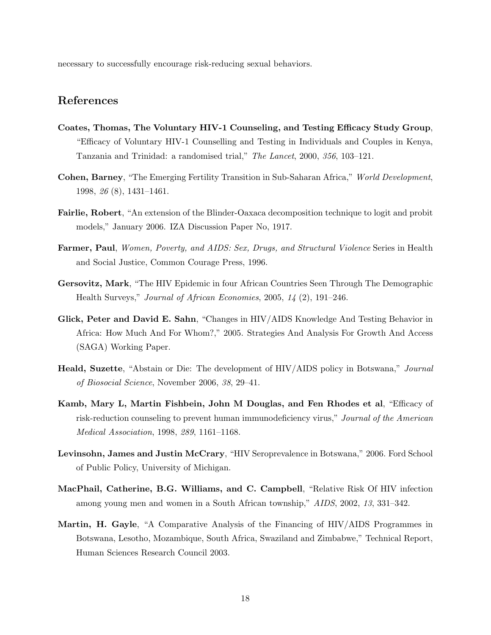necessary to successfully encourage risk-reducing sexual behaviors.

#### References

- Coates, Thomas, The Voluntary HIV-1 Counseling, and Testing Efficacy Study Group, "Efficacy of Voluntary HIV-1 Counselling and Testing in Individuals and Couples in Kenya, Tanzania and Trinidad: a randomised trial," The Lancet, 2000, 356, 103–121.
- Cohen, Barney, "The Emerging Fertility Transition in Sub-Saharan Africa," World Development, 1998, 26 (8), 1431–1461.
- Fairlie, Robert, "An extension of the Blinder-Oaxaca decomposition technique to logit and probit models," January 2006. IZA Discussion Paper No, 1917.
- Farmer, Paul, Women, Poverty, and AIDS: Sex, Drugs, and Structural Violence Series in Health and Social Justice, Common Courage Press, 1996.
- Gersovitz, Mark, "The HIV Epidemic in four African Countries Seen Through The Demographic Health Surveys," Journal of African Economies, 2005, 14 (2), 191–246.
- Glick, Peter and David E. Sahn, "Changes in HIV/AIDS Knowledge And Testing Behavior in Africa: How Much And For Whom?," 2005. Strategies And Analysis For Growth And Access (SAGA) Working Paper.
- Heald, Suzette, "Abstain or Die: The development of HIV/AIDS policy in Botswana," Journal of Biosocial Science, November 2006, 38, 29–41.
- Kamb, Mary L, Martin Fishbein, John M Douglas, and Fen Rhodes et al, "Efficacy of risk-reduction counseling to prevent human immunodeficiency virus," Journal of the American Medical Association, 1998, 289, 1161–1168.
- Levinsohn, James and Justin McCrary, "HIV Seroprevalence in Botswana," 2006. Ford School of Public Policy, University of Michigan.
- MacPhail, Catherine, B.G. Williams, and C. Campbell, "Relative Risk Of HIV infection among young men and women in a South African township," AIDS, 2002, 13, 331–342.
- Martin, H. Gayle, "A Comparative Analysis of the Financing of HIV/AIDS Programmes in Botswana, Lesotho, Mozambique, South Africa, Swaziland and Zimbabwe," Technical Report, Human Sciences Research Council 2003.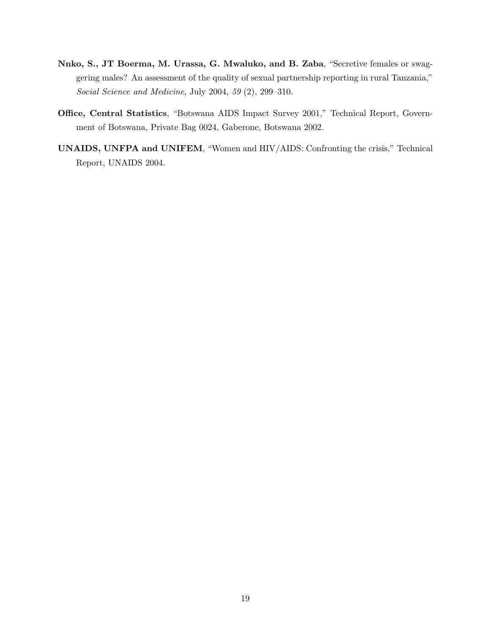- Nnko, S., JT Boerma, M. Urassa, G. Mwaluko, and B. Zaba, "Secretive females or swaggering males? An assessment of the quality of sexual partnership reporting in rural Tanzania," Social Science and Medicine, July 2004, 59 (2), 299–310.
- Office, Central Statistics, "Botswana AIDS Impact Survey 2001," Technical Report, Government of Botswana, Private Bag 0024, Gaberone, Botswana 2002.
- UNAIDS, UNFPA and UNIFEM, "Women and HIV/AIDS: Confronting the crisis," Technical Report, UNAIDS 2004.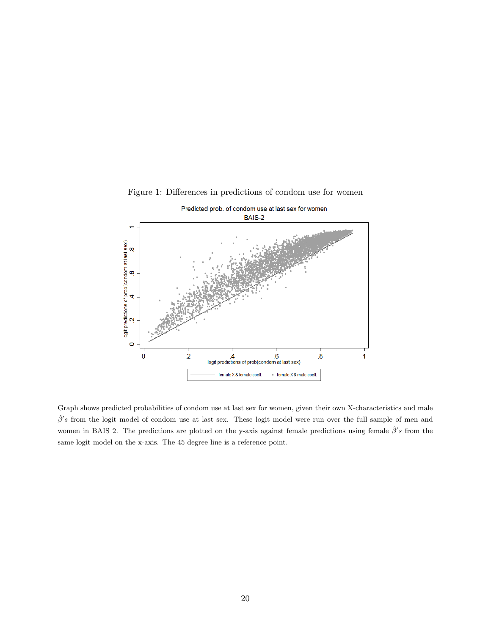

Figure 1: Differences in predictions of condom use for women

Graph shows predicted probabilities of condom use at last sex for women, given their own X-characteristics and male  $\hat{\beta}'s$  from the logit model of condom use at last sex. These logit model were run over the full sample of men and women in BAIS 2. The predictions are plotted on the y-axis against female predictions using female  $\hat{\beta}'s$  from the same logit model on the x-axis. The 45 degree line is a reference point.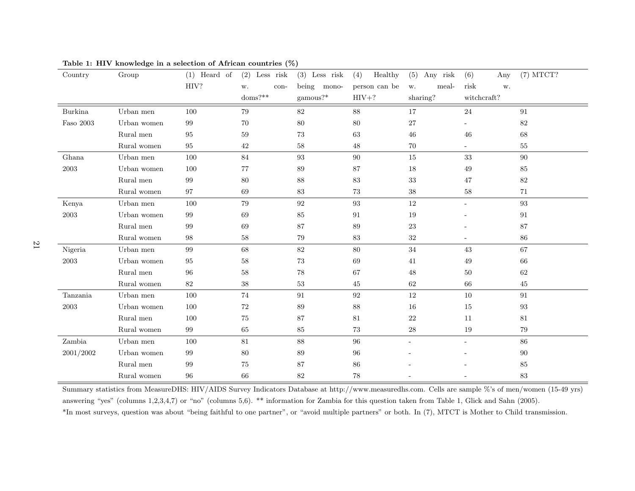| Country    | Group          | $(1)$ Heard of    | (2)<br>Less risk | $(3)$ Less risk | Healthy<br>(4)    | (5)<br>Any risk | (6)<br>Any               | $(7)$ MTCT?       |
|------------|----------------|-------------------|------------------|-----------------|-------------------|-----------------|--------------------------|-------------------|
|            |                | HIV?              | w.<br>$con-$     | being mono-     | person can be     | meal-<br>w.     | $_{\rm risk}$<br>w.      |                   |
|            |                |                   | $doms?***$       | gamous?*        | $HIV+?$           | sharing?        | witchcraft?              |                   |
| Burkina    | Urban men      | 100               | 79               | $82\,$          | 88                | 17              | $\sqrt{24}$              | 91                |
| Faso 2003  | Urban women    | 99                | 70               | $80\,$          | 80                | 27              |                          | 82                |
|            | Rural men      | 95                | 59               | 73              | 63                | 46              | 46                       | $68\,$            |
|            | Rural women    | 95                | 42               | 58              | 48                | 70              | $\sim$                   | 55                |
| Ghana      | Urban men      | 100               | 84               | 93              | 90                | $15\,$          | $33\,$                   | 90                |
| 2003       | Urban women    | 100               | 77               | 89              | 87                | $18\,$          | 49                       | 85                |
|            | Rural men      | 99                | 80               | 88              | 83                | 33              | 47                       | $82\,$            |
|            | Rural women    | 97                | 69               | 83              | 73                | $38\,$          | 58                       | $71\,$            |
| Kenya      | Urban men      | 100               | 79               | 92              | $\boldsymbol{93}$ | $12\,$          |                          | 93                |
| $\,2003\,$ | Urban women    | 99                | 69               | 85              | 91                | $19\,$          |                          | $\rm 91$          |
|            | Rural men $\,$ | 99                | 69               | 87              | $89\,$            | $23\,$          |                          | 87                |
|            | Rural women    | 98                | 58               | 79              | 83                | $32\,$          | $\overline{\phantom{a}}$ | 86                |
| Nigeria    | Urban men      | 99                | 68               | $82\,$          | 80                | $34\,$          | 43                       | 67                |
| 2003       | Urban women    | 95                | 58               | 73              | 69                | 41              | 49                       | 66                |
|            | Rural men      | 96                | 58               | 78              | 67                | $48\,$          | 50                       | $62\,$            |
|            | Rural women    | 82                | $38\,$           | 53              | 45                | 62              | 66                       | 45                |
| Tanzania   | Urban men      | 100               | 74               | 91              | 92                | $12\,$          | $10\,$                   | 91                |
| 2003       | Urban women    | 100               | $72\,$           | $89\,$          | $88\,$            | $16\,$          | $15\,$                   | $\boldsymbol{93}$ |
|            | Rural men      | 100               | 75               | 87              | 81                | $22\,$          | 11                       | 81                |
|            | Rural women    | 99                | 65               | 85              | 73                | $\sqrt{28}$     | 19                       | 79                |
| Zambia     | Urban men      | 100               | $81\,$           | 88              | 96                |                 |                          | $86\,$            |
| 2001/2002  | Urban women    | $\boldsymbol{99}$ | 80               | 89              | 96                |                 |                          | 90                |
|            | Rural men      | 99                | 75               | 87              | 86                |                 |                          | $85\,$            |
|            | Rural women    | 96                | 66               | $82\,$          | 78                |                 |                          | 83                |

Table 1: HIV knowledge in <sup>a</sup> selection of African countries (%)

Summary statistics from MeasureDHS: HIV/AIDS Survey Indicators Database at http://www.measuredhs.com. Cells are sample %'s of men/women (15-49 yrs)answering "yes" (columns 1,2,3,4,7) or "no" (columns 5,6). \*\* information for Zambia for this question taken from Table 1, Glick and Sahn (2005).\*In most surveys, question was about "being faithful to one partner", or "avoid multiple partners" or both. In (7), MTCT is Mother to Child transmission.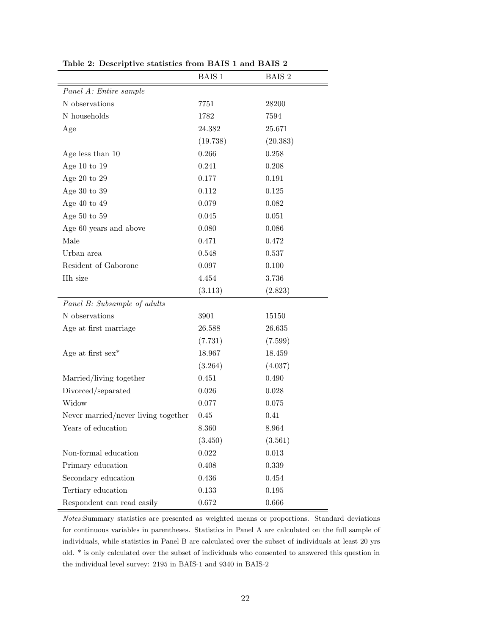|                                     | BAIS 1   | BAIS <sub>2</sub> |
|-------------------------------------|----------|-------------------|
| Panel A: Entire sample              |          |                   |
| N observations                      | 7751     | 28200             |
| ${\cal N}$ households               | 1782     | 7594              |
| Age                                 | 24.382   | 25.671            |
|                                     | (19.738) | (20.383)          |
| Age less than 10                    | 0.266    | 0.258             |
| Age 10 to 19                        | 0.241    | 0.208             |
| Age $20$ to $29$                    | 0.177    | 0.191             |
| Age $30$ to $39$                    | 0.112    | 0.125             |
| Age $40$ to $49$                    | 0.079    | 0.082             |
| Age $50$ to $59$                    | 0.045    | 0.051             |
| Age 60 years and above              | 0.080    | 0.086             |
| $\rm Male$                          | 0.471    | 0.472             |
| Urban area                          | 0.548    | 0.537             |
| Resident of Gaborone                | 0.097    | 0.100             |
| Hh size                             | 4.454    | 3.736             |
|                                     | (3.113)  | (2.823)           |
| Panel B: Subsample of adults        |          |                   |
| N observations                      | 3901     | 15150             |
| Age at first marriage               | 26.588   | 26.635            |
|                                     | (7.731)  | (7.599)           |
| Age at first $sex*$                 | 18.967   | 18.459            |
|                                     | (3.264)  | (4.037)           |
| Married/living together             | 0.451    | 0.490             |
| Divorced/separated                  | 0.026    | 0.028             |
| Widow                               | 0.077    | 0.075             |
| Never married/never living together | 0.45     | 0.41              |
| Years of education                  | 8.360    | 8.964             |
|                                     | (3.450)  | (3.561)           |
| Non-formal education                | 0.022    | 0.013             |
| Primary education                   | 0.408    | 0.339             |
| Secondary education                 | 0.436    | 0.454             |
| Tertiary education                  | 0.133    | 0.195             |
| Respondent can read easily          | 0.672    | 0.666             |

Table 2: Descriptive statistics from BAIS 1 and BAIS 2

Notes:Summary statistics are presented as weighted means or proportions. Standard deviations for continuous variables in parentheses. Statistics in Panel A are calculated on the full sample of individuals, while statistics in Panel B are calculated over the subset of individuals at least 20 yrs old. \* is only calculated over the subset of individuals who consented to answered this question in the individual level survey: 2195 in BAIS-1 and 9340 in BAIS-2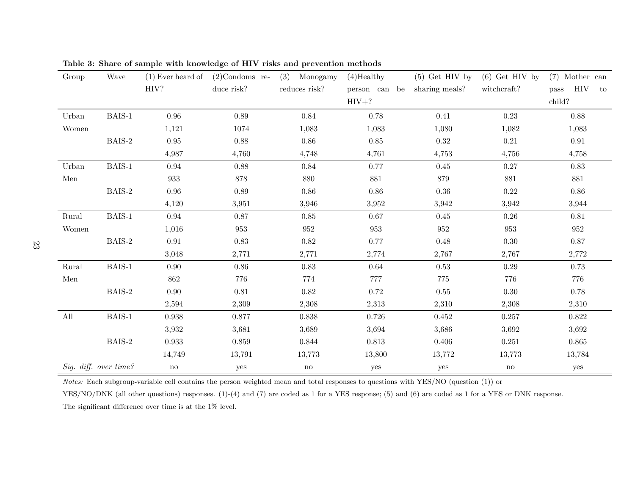| Group                 | Wave                  |            | $(1)$ Ever heard of $(2)$ Condoms re- | $(3)$ Monogamy      | $(4)$ Healthy | $(5)$ Get HIV by | $(6)$ Get HIV by | $(7)$ Mother can |
|-----------------------|-----------------------|------------|---------------------------------------|---------------------|---------------|------------------|------------------|------------------|
|                       |                       | HIV?       | duce risk?                            | reduces risk?       | person can be | sharing meals?   | witchcraft?      | HIV to<br>pass   |
|                       |                       |            |                                       |                     | $HIV+?$       |                  |                  | child?           |
| Urban                 | $BAIS-1$              | 0.96       | 0.89                                  | 0.84                | 0.78          | 0.41             | $0.23\,$         | 0.88             |
| Women                 |                       | 1,121      | 1074                                  | 1,083               | 1,083         | 1,080            | 1,082            | 1,083            |
|                       | BAIS-2                | $0.95\,$   | 0.88                                  | $0.86\,$            | $0.85\,$      | $0.32\,$         | $0.21\,$         | $\rm 0.91$       |
|                       |                       | 4,987      | 4,760                                 | 4,748               | 4,761         | 4,753            | 4,756            | 4,758            |
| Urban                 | BAIS-1                | 0.94       | $0.88\,$                              | 0.84                | 0.77          | $0.45\,$         | 0.27             | 0.83             |
| Men                   |                       | 933        | 878                                   | 880                 | 881           | 879              | 881              | 881              |
|                       | BAIS-2                | 0.96       | 0.89                                  | 0.86                | 0.86          | 0.36             | $0.22\,$         | 0.86             |
|                       |                       | 4,120      | 3,951                                 | 3,946               | 3,952         | 3,942            | 3,942            | 3,944            |
| Rural                 | $\rm_{BAIS\text{-}1}$ | 0.94       | 0.87                                  | 0.85                | 0.67          | $0.45\,$         | 0.26             | 0.81             |
| Women                 |                       | 1,016      | $\boldsymbol{953}$                    | 952                 | 953           | 952              | 953              | 952              |
|                       | BAIS-2                | 0.91       | 0.83                                  | 0.82                | 0.77          | 0.48             | $0.30\,$         | 0.87             |
|                       |                       | 3,048      | 2,771                                 | 2,771               | 2,774         | 2,767            | 2,767            | 2,772            |
| Rural                 | $\rm_{BAIS\text{-}1}$ | 0.90       | 0.86                                  | 0.83                | 0.64          | 0.53             | 0.29             | 0.73             |
| Men                   |                       | 862        | 776                                   | 774                 | 777           | 775              | 776              | 776              |
|                       | BAIS-2                | 0.90       | $0.81\,$                              | 0.82                | 0.72          | $0.55\,$         | $0.30\,$         | 0.78             |
|                       |                       | 2,594      | 2,309                                 | 2,308               | 2,313         | 2,310            | 2,308            | 2,310            |
| All                   | BAIS-1                | 0.938      | 0.877                                 | 0.838               | 0.726         | 0.452            | 0.257            | 0.822            |
|                       |                       | 3,932      | 3,681                                 | 3,689               | 3,694         | 3,686            | 3,692            | 3,692            |
|                       | $BAIS-2$              | 0.933      | 0.859                                 | 0.844               | 0.813         | 0.406            | 0.251            | 0.865            |
|                       |                       | 14,749     | 13,791                                | 13,773              | 13,800        | 13,772           | 13,773           | 13,784           |
| Sig. diff. over time? |                       | $\rm {no}$ | yes                                   | $\operatorname{no}$ | yes           | yes              | $\rm no$         | yes              |

Table 3: Share of sample with knowledge of HIV risks and prevention methods

Notes: Each subgroup-variable cell contains the person weighted mean and total responses to questions with YES/NO (question (1)) or

YES/NO/DNK (all other questions) responses. (1)-(4) and (7) are coded as 1 for a YES response; (5) and (6) are coded as 1 for a YES or DNK response.

The significant difference over time is at the  $1\%$  level.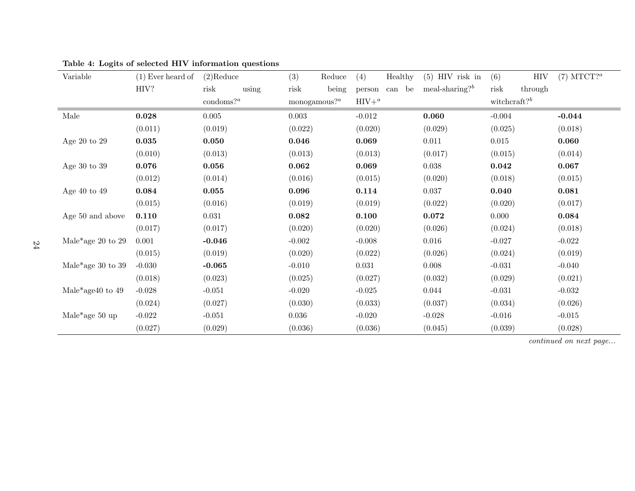| Variable           | $(1)$ Ever heard of | $(2)$ Reduce        |       | (3)          | Reduce | (4)       | Healthy   | HIV risk in<br>(5) | (6)             | <b>HIV</b> | $(7)$ MTCT? <sup>a</sup> |
|--------------------|---------------------|---------------------|-------|--------------|--------|-----------|-----------|--------------------|-----------------|------------|--------------------------|
|                    | HIV?                | risk                | using | risk         | being  | person    | be<br>can | meal-sharing? $b$  | risk            | through    |                          |
|                    |                     | $\,$ condoms?" $\,$ |       | monogamous?" |        | $HIV+a$   |           |                    | witchcraft? $b$ |            |                          |
| Male               | 0.028               | 0.005               |       | 0.003        |        | $-0.012$  |           | 0.060              | $-0.004$        |            | $-0.044$                 |
|                    | (0.011)             | (0.019)             |       | (0.022)      |        | (0.020)   |           | (0.029)            | (0.025)         |            | (0.018)                  |
| Age 20 to 29       | 0.035               | 0.050               |       | 0.046        |        | 0.069     |           | 0.011              | 0.015           |            | 0.060                    |
|                    | (0.010)             | (0.013)             |       | (0.013)      |        | (0.013)   |           | (0.017)            | (0.015)         |            | (0.014)                  |
| Age $30$ to $39$   | 0.076               | 0.056               |       | 0.062        |        | 0.069     |           | 0.038              | 0.042           |            | 0.067                    |
|                    | (0.012)             | (0.014)             |       | (0.016)      |        | (0.015)   |           | (0.020)            | (0.018)         |            | (0.015)                  |
| Age 40 to 49       | 0.084               | 0.055               |       | 0.096        |        | 0.114     |           | 0.037              | 0.040           |            | 0.081                    |
|                    | (0.015)             | (0.016)             |       | (0.019)      |        | (0.019)   |           | (0.022)            | (0.020)         |            | (0.017)                  |
| Age 50 and above   | 0.110               | $0.031\,$           |       | 0.082        |        | 0.100     |           | 0.072              | 0.000           |            | 0.084                    |
|                    | (0.017)             | (0.017)             |       | (0.020)      |        | (0.020)   |           | (0.026)            | (0.024)         |            | (0.018)                  |
| Male*age 20 to 29  | 0.001               | $-0.046$            |       | $-0.002$     |        | $-0.008$  |           | 0.016              | $-0.027$        |            | $-0.022$                 |
|                    | (0.015)             | (0.019)             |       | (0.020)      |        | (0.022)   |           | (0.026)            | (0.024)         |            | (0.019)                  |
| Male*age 30 to 39  | $-0.030$            | $-0.065$            |       | $-0.010$     |        | $0.031\,$ |           | 0.008              | $-0.031$        |            | $-0.040$                 |
|                    | (0.018)             | (0.023)             |       | (0.025)      |        | (0.027)   |           | (0.032)            | (0.029)         |            | (0.021)                  |
| Male*age40 to $49$ | $-0.028$            | $-0.051$            |       | $-0.020$     |        | $-0.025$  |           | 0.044              | $-0.031$        |            | $-0.032$                 |
|                    | (0.024)             | (0.027)             |       | (0.030)      |        | (0.033)   |           | (0.037)            | (0.034)         |            | (0.026)                  |
| $Male*age 50 up$   | $-0.022$            | $-0.051$            |       | 0.036        |        | $-0.020$  |           | $-0.028$           | $-0.016$        |            | $-0.015$                 |
|                    | (0.027)             | (0.029)             |       | (0.036)      |        | (0.036)   |           | (0.045)            | (0.039)         |            | (0.028)                  |

#### Table 4: Logits of selected HIV information questions

continued on next page...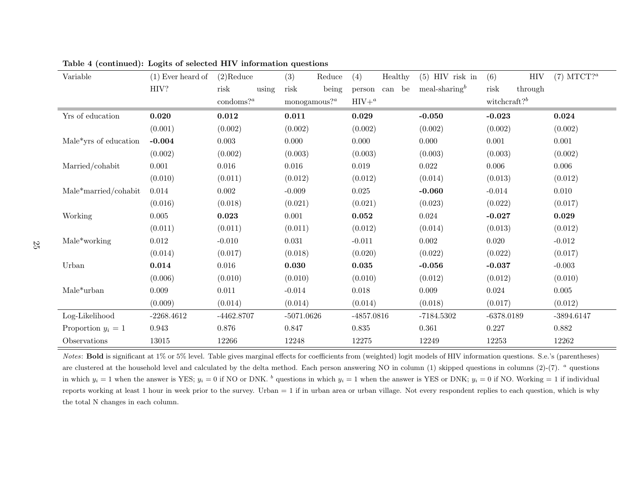| Variable               | $(1)$ Ever heard of  | $(2)$ Reduce        |       | (3)                          | Reduce | (4)          | Healthy |    | $(5)$ HIV risk in | (6)             | <b>HIV</b> | $(7)$ MTCT? <sup>a</sup> |
|------------------------|----------------------|---------------------|-------|------------------------------|--------|--------------|---------|----|-------------------|-----------------|------------|--------------------------|
|                        | HIV?                 | risk                | using | risk                         | being  | person       | can     | be | meal-sharing $^b$ | risk            | through    |                          |
|                        |                      | $\,$ condoms?" $\,$ |       | monogamous? $\phantom{}^{a}$ |        | $HIV+a$      |         |    |                   | witchcraft? $b$ |            |                          |
| Yrs of education       | $\boldsymbol{0.020}$ | 0.012               |       | 0.011                        |        | 0.029        |         |    | $-0.050$          | $-0.023$        |            | 0.024                    |
|                        | (0.001)              | (0.002)             |       | (0.002)                      |        | (0.002)      |         |    | (0.002)           | (0.002)         |            | (0.002)                  |
| Male*yrs of education  | $-0.004$             | 0.003               |       | 0.000                        |        | 0.000        |         |    | 0.000             | 0.001           |            | 0.001                    |
|                        | (0.002)              | (0.002)             |       | (0.003)                      |        | (0.003)      |         |    | (0.003)           | (0.003)         |            | (0.002)                  |
| Married/cohabit        | $0.001\,$            | 0.016               |       | 0.016                        |        | 0.019        |         |    | 0.022             | 0.006           |            | 0.006                    |
|                        | (0.010)              | (0.011)             |       | (0.012)                      |        | (0.012)      |         |    | (0.014)           | (0.013)         |            | (0.012)                  |
| Male*married/cohabit   | 0.014                | 0.002               |       | $-0.009$                     |        | 0.025        |         |    | $-0.060$          | $-0.014$        |            | 0.010                    |
|                        | (0.016)              | (0.018)             |       | (0.021)                      |        | (0.021)      |         |    | (0.023)           | (0.022)         |            | (0.017)                  |
| Working                | 0.005                | 0.023               |       | 0.001                        |        | 0.052        |         |    | 0.024             | $-0.027$        |            | 0.029                    |
|                        | (0.011)              | (0.011)             |       | (0.011)                      |        | (0.012)      |         |    | (0.014)           | (0.013)         |            | (0.012)                  |
| $\text{Male*}$ working | 0.012                | $-0.010$            |       | 0.031                        |        | $-0.011$     |         |    | 0.002             | 0.020           |            | $-0.012$                 |
|                        | (0.014)              | (0.017)             |       | (0.018)                      |        | (0.020)      |         |    | (0.022)           | (0.022)         |            | (0.017)                  |
| Urban                  | 0.014                | 0.016               |       | 0.030                        |        | 0.035        |         |    | $-0.056$          | $-0.037$        |            | $-0.003$                 |
|                        | (0.006)              | (0.010)             |       | (0.010)                      |        | (0.010)      |         |    | (0.012)           | (0.012)         |            | (0.010)                  |
| $Male*urban$           | 0.009                | 0.011               |       | $-0.014$                     |        | 0.018        |         |    | 0.009             | 0.024           |            | 0.005                    |
|                        | (0.009)              | (0.014)             |       | (0.014)                      |        | (0.014)      |         |    | (0.018)           | (0.017)         |            | (0.012)                  |
| Log-Likelihood         | $-2268.4612$         | $-4462.8707$        |       | $-5071.0626$                 |        | $-4857.0816$ |         |    | $-7184.5302$      | $-6378.0189$    |            | $-3894.6147$             |
| Proportion $y_i = 1$   | 0.943                | 0.876               |       | 0.847                        |        | 0.835        |         |    | 0.361             | 0.227           |            | 0.882                    |
| Observations           | 13015                | 12266               |       | 12248                        |        | 12275        |         |    | 12249             | 12253           |            | 12262                    |

Table <sup>4</sup> (continued): Logits of selected HIV information questions

 $Notes:$   $Bold$  is significant at  $1\%$  or  $5\%$  level. Table gives marginal effects for coefficients from (weighted) logit models of HIV information questions. S.e.'s (parentheses) are clustered at the household level and calculated by the delta method. Each person answering NO in column  $(1)$  skipped questions in columns  $(2)-(7)$ . <sup>a</sup> questions in which  $y_i = 1$  when the answer is YES;  $y_i = 0$  if NO or DNK. <sup>b</sup> questions in which  $y_i = 1$  when the answer is YES or DNK;  $y_i = 0$  if NO. Working  $= 1$  if individual reports working at least 1 hour in week prior to the survey. Urban <sup>=</sup> 1 if in urban area or urban village. Not every respondent replies to each question, which is whythe total N changes in each column.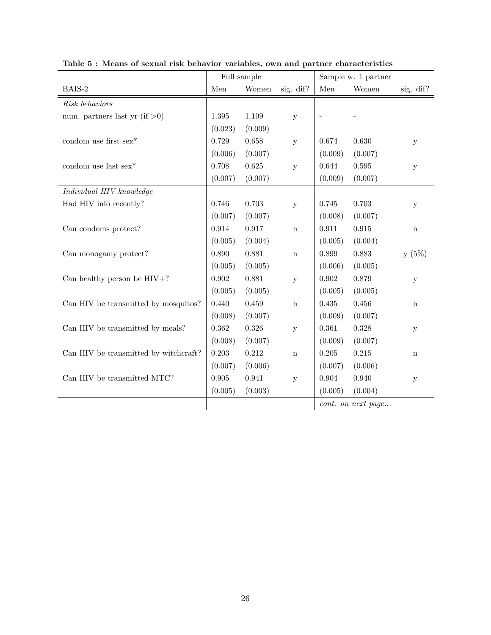|                                       | Full sample |           |              | Sample w. 1 partner |                    |              |
|---------------------------------------|-------------|-----------|--------------|---------------------|--------------------|--------------|
| BAIS-2                                | Men         | Women     | sig. dif?    | Men                 | Women              | sig. dif?    |
| Risk behaviors                        |             |           |              |                     |                    |              |
| num. partners last yr (if $>0$ )      | 1.395       | $1.109\,$ | $\mathbf{y}$ |                     |                    |              |
|                                       | (0.023)     | (0.009)   |              |                     |                    |              |
| condom use first sex*                 | 0.729       | 0.658     | $\mathbf y$  | 0.674               | 0.630              | $\mathbf{y}$ |
|                                       | (0.006)     | (0.007)   |              | (0.009)             | (0.007)            |              |
| condom use last $sex*$                | 0.708       | 0.625     | $\mathbf y$  | 0.644               | 0.595              | $\mathbf{y}$ |
|                                       | (0.007)     | (0.007)   |              | (0.009)             | (0.007)            |              |
| Individual HIV knowledge              |             |           |              |                     |                    |              |
| Had HIV info recently?                | 0.746       | 0.703     | $\mathbf y$  | 0.745               | 0.703              | у            |
|                                       | (0.007)     | (0.007)   |              | (0.008)             | (0.007)            |              |
| Can condoms protect?                  | 0.914       | 0.917     | $\mathbf n$  | 0.911               | 0.915              | $\mathbf n$  |
|                                       | (0.005)     | (0.004)   |              | (0.005)             | (0.004)            |              |
| Can monogamy protect?                 | 0.890       | 0.881     | $\mathbf n$  | 0.899               | 0.883              | y(5%)        |
|                                       | (0.005)     | (0.005)   |              | (0.006)             | (0.005)            |              |
| Can healthy person be $HIV+?$         | $\,0.902\,$ | 0.881     | $\mathbf{y}$ | $0.902\,$           | 0.879              | у            |
|                                       | (0.005)     | (0.005)   |              | (0.005)             | (0.005)            |              |
| Can HIV be transmitted by mosquitos?  | 0.440       | 0.459     | $\mathbf n$  | $0.435\,$           | 0.456              | $\mathbf n$  |
|                                       | (0.008)     | (0.007)   |              | (0.009)             | (0.007)            |              |
| Can HIV be transmitted by meals?      | 0.362       | 0.326     | $\mathbf y$  | 0.361               | 0.328              | $\mathbf{y}$ |
|                                       | (0.008)     | (0.007)   |              | (0.009)             | (0.007)            |              |
| Can HIV be transmitted by witchcraft? | 0.203       | 0.212     | $\mathbf n$  | 0.205               | 0.215              | $\mathbf n$  |
|                                       | (0.007)     | (0.006)   |              | (0.007)             | (0.006)            |              |
| Can HIV be transmitted MTC?           | 0.905       | 0.941     | $\mathbf{y}$ | 0.904               | 0.940              | $\mathbf{y}$ |
|                                       | (0.005)     | (0.003)   |              | (0.005)             | (0.004)            |              |
|                                       |             |           |              |                     | cont. on next page |              |

Table 5 : Means of sexual risk behavior variables, own and partner characteristics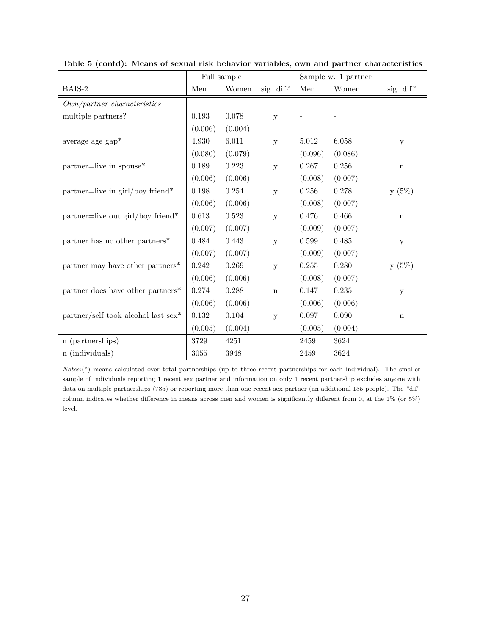|                                     |           | Full sample |             | Sample w. 1 partner |         |              |  |
|-------------------------------------|-----------|-------------|-------------|---------------------|---------|--------------|--|
| BAIS-2                              | Men       | Women       | sig. dif?   | Men                 | Women   | sig. dif?    |  |
| $Own/partner$ characteristics       |           |             |             |                     |         |              |  |
| multiple partners?                  | 0.193     | $0.078\,$   | $\mathbf y$ |                     |         |              |  |
|                                     | (0.006)   | (0.004)     |             |                     |         |              |  |
| average age gap*                    | 4.930     | 6.011       | $\mathbf y$ | 5.012               | 6.058   | у            |  |
|                                     | (0.080)   | (0.079)     |             | (0.096)             | (0.086) |              |  |
| partner=live in spouse*             | 0.189     | 0.223       | $\mathbf y$ | 0.267               | 0.256   | $\mathbf n$  |  |
|                                     | (0.006)   | (0.006)     |             | (0.008)             | (0.007) |              |  |
| partner=live in girl/boy friend*    | 0.198     | 0.254       | у           | 0.256               | 0.278   | y(5%)        |  |
|                                     | (0.006)   | (0.006)     |             | (0.008)             | (0.007) |              |  |
| partner=live out girl/boy friend*   | 0.613     | 0.523       | $\mathbf y$ | 0.476               | 0.466   | $\mathbf n$  |  |
|                                     | (0.007)   | (0.007)     |             | (0.009)             | (0.007) |              |  |
| partner has no other partners*      | 0.484     | 0.443       | $\mathbf y$ | 0.599               | 0.485   | $\mathbf{y}$ |  |
|                                     | (0.007)   | (0.007)     |             | (0.009)             | (0.007) |              |  |
| partner may have other partners*    | 0.242     | 0.269       | y           | 0.255               | 0.280   | y(5%)        |  |
|                                     | (0.006)   | (0.006)     |             | (0.008)             | (0.007) |              |  |
| partner does have other partners*   | 0.274     | 0.288       | $\mathbf n$ | 0.147               | 0.235   | $\mathbf{y}$ |  |
|                                     | (0.006)   | (0.006)     |             | (0.006)             | (0.006) |              |  |
| partner/self took alcohol last sex* | $0.132\,$ | 0.104       | у           | $0.097\,$           | 0.090   | $\mathbf n$  |  |
|                                     | (0.005)   | (0.004)     |             | (0.005)             | (0.004) |              |  |
| n (partnerships)                    | 3729      | 4251        |             | 2459                | 3624    |              |  |
| n (individuals)                     | 3055      | 3948        |             | 2459                | 3624    |              |  |

Table 5 (contd): Means of sexual risk behavior variables, own and partner characteristics

Notes:(\*) means calculated over total partnerships (up to three recent partnerships for each individual). The smaller sample of individuals reporting 1 recent sex partner and information on only 1 recent partnership excludes anyone with data on multiple partnerships (785) or reporting more than one recent sex partner (an additional 135 people). The "dif" column indicates whether difference in means across men and women is significantly different from 0, at the 1% (or 5%) level.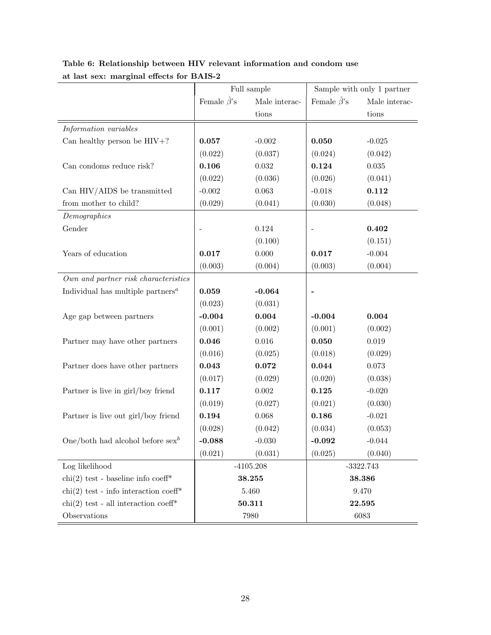|                                                | Full sample              |               | Sample with only 1 partner |               |  |
|------------------------------------------------|--------------------------|---------------|----------------------------|---------------|--|
|                                                | Female $\hat{\beta}$ 's  | Male interac- | Female $\hat{\beta}$ 's    | Male interac- |  |
|                                                |                          | tions         |                            | tions         |  |
| Information variables                          |                          |               |                            |               |  |
| Can healthy person be $HIV+?$                  | 0.057                    | $-0.002$      | 0.050                      | $-0.025$      |  |
|                                                | (0.022)                  | (0.037)       | (0.024)                    | (0.042)       |  |
| Can condoms reduce risk?                       | 0.106                    | 0.032         | 0.124                      | 0.035         |  |
|                                                | (0.022)                  | (0.036)       | (0.026)                    | (0.041)       |  |
| Can HIV/AIDS be transmitted                    | $-0.002$                 | 0.063         | $-0.018$                   | 0.112         |  |
| from mother to child?                          | (0.029)                  | (0.041)       | (0.030)                    | (0.048)       |  |
| Demographics                                   |                          |               |                            |               |  |
| Gender                                         | $\overline{\phantom{a}}$ | 0.124         | $\overline{\phantom{0}}$   | 0.402         |  |
|                                                |                          | (0.100)       |                            | (0.151)       |  |
| Years of education                             | 0.017                    | 0.000         | 0.017                      | $-0.004$      |  |
|                                                | (0.003)                  | (0.004)       | (0.003)                    | (0.004)       |  |
| Own and partner risk characteristics           |                          |               |                            |               |  |
| Individual has multiple partners <sup>a</sup>  | 0.059                    | $-0.064$      | $\overline{a}$             |               |  |
|                                                | (0.023)                  | (0.031)       |                            |               |  |
| Age gap between partners                       | $-0.004$                 | 0.004         | $-0.004$                   | 0.004         |  |
|                                                | (0.001)                  | (0.002)       | (0.001)                    | (0.002)       |  |
| Partner may have other partners                | 0.046                    | $0.016\,$     | 0.050                      | $\,0.019\,$   |  |
|                                                | (0.016)                  | (0.025)       | (0.018)                    | (0.029)       |  |
| Partner does have other partners               | 0.043                    | 0.072         | 0.044                      | 0.073         |  |
|                                                | (0.017)                  | (0.029)       | (0.020)                    | (0.038)       |  |
| Partner is live in girl/boy friend             | 0.117                    | $0.002\,$     | 0.125                      | $-0.020$      |  |
|                                                | (0.019)                  | (0.027)       | (0.021)                    | (0.030)       |  |
| Partner is live out girl/boy friend            | 0.194                    | 0.068         | 0.186                      | $-0.021$      |  |
|                                                | (0.028)                  | (0.042)       | (0.034)                    | (0.053)       |  |
| One/both had alcohol before $sex^b$            | $-0.088$                 | $-0.030$      | $-0.092$                   | $-0.044$      |  |
|                                                | (0.021)                  | (0.031)       | (0.025)                    | (0.040)       |  |
| Log likelihood                                 |                          | $-4105.208$   | $-3322.743$                |               |  |
| $\text{chi}(2)$ test - baseline info coeff*    |                          | 38.255        | 38.386                     |               |  |
| $\text{chi}(2)$ test - info interaction coeff* |                          | 5.460         | 9.470                      |               |  |
| $\text{chi}(2)$ test - all interaction coeff*  |                          | 50.311        | 22.595                     |               |  |
| Observations                                   |                          | 7980          | 6083                       |               |  |

Table 6: Relationship between HIV relevant information and condom use at last sex: marginal effects for BAIS-2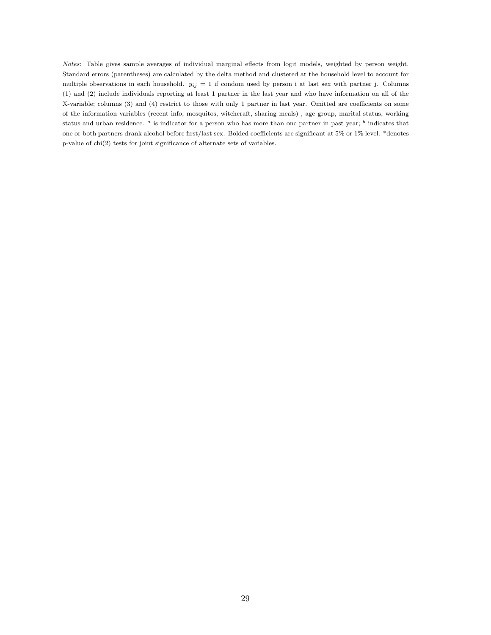Notes: Table gives sample averages of individual marginal effects from logit models, weighted by person weight. Standard errors (parentheses) are calculated by the delta method and clustered at the household level to account for multiple observations in each household.  $y_{ij} = 1$  if condom used by person i at last sex with partner j. Columns (1) and (2) include individuals reporting at least 1 partner in the last year and who have information on all of the X-variable; columns (3) and (4) restrict to those with only 1 partner in last year. Omitted are coefficients on some of the information variables (recent info, mosquitos, witchcraft, sharing meals) , age group, marital status, working status and urban residence.  $a$  is indicator for a person who has more than one partner in past year;  $b$  indicates that one or both partners drank alcohol before first/last sex. Bolded coefficients are significant at 5% or 1% level. \*denotes p-value of chi(2) tests for joint significance of alternate sets of variables.